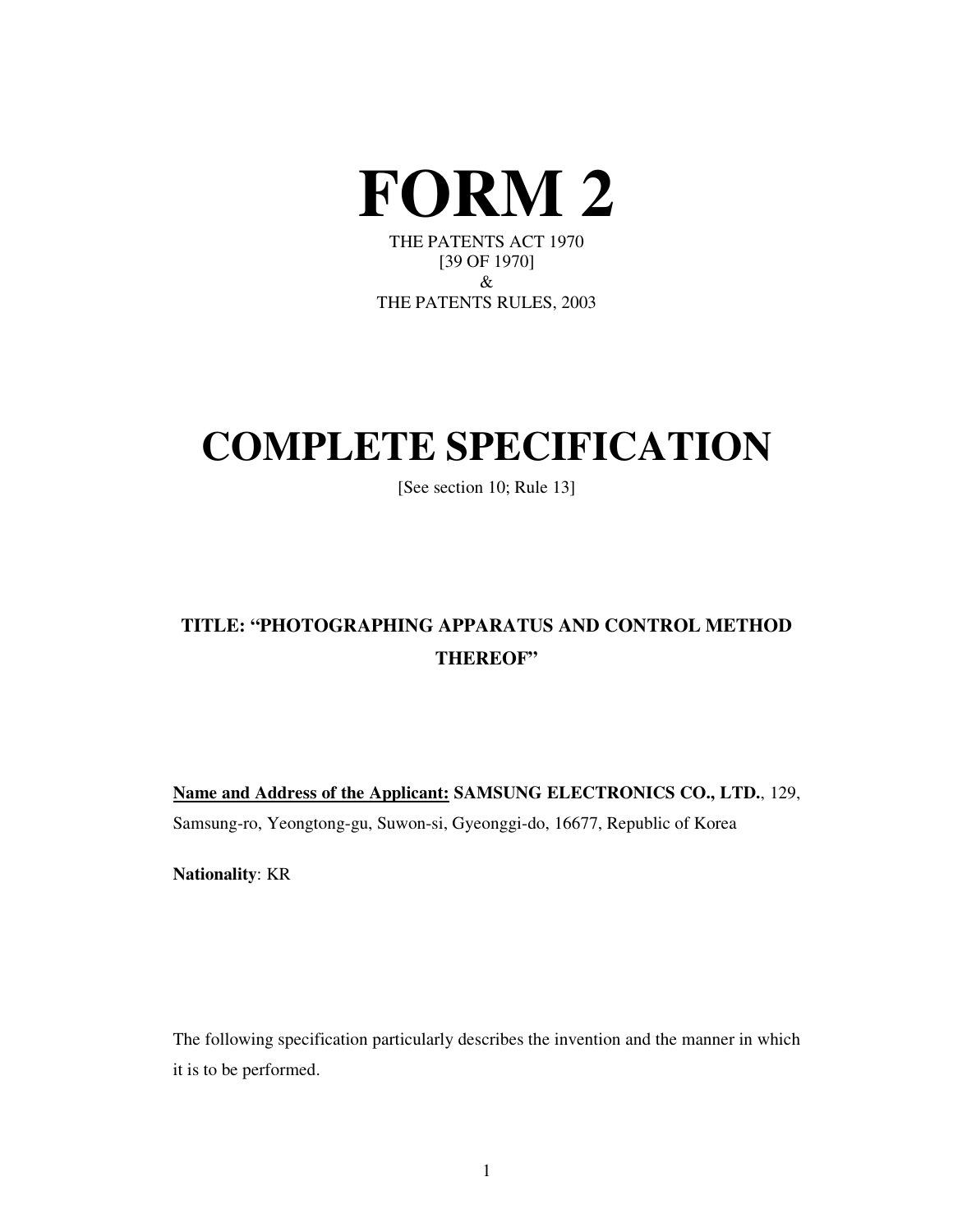

THE PATENTS RULES, 2003

# **COMPLETE SPECIFICATION**

[See section 10; Rule 13]

# **TITLE: "PHOTOGRAPHING APPARATUS AND CONTROL METHOD THEREOF"**

**Name and Address of the Applicant: SAMSUNG ELECTRONICS CO., LTD.**, 129, Samsung-ro, Yeongtong-gu, Suwon-si, Gyeonggi-do, 16677, Republic of Korea

**Nationality**: KR

The following specification particularly describes the invention and the manner in which it is to be performed.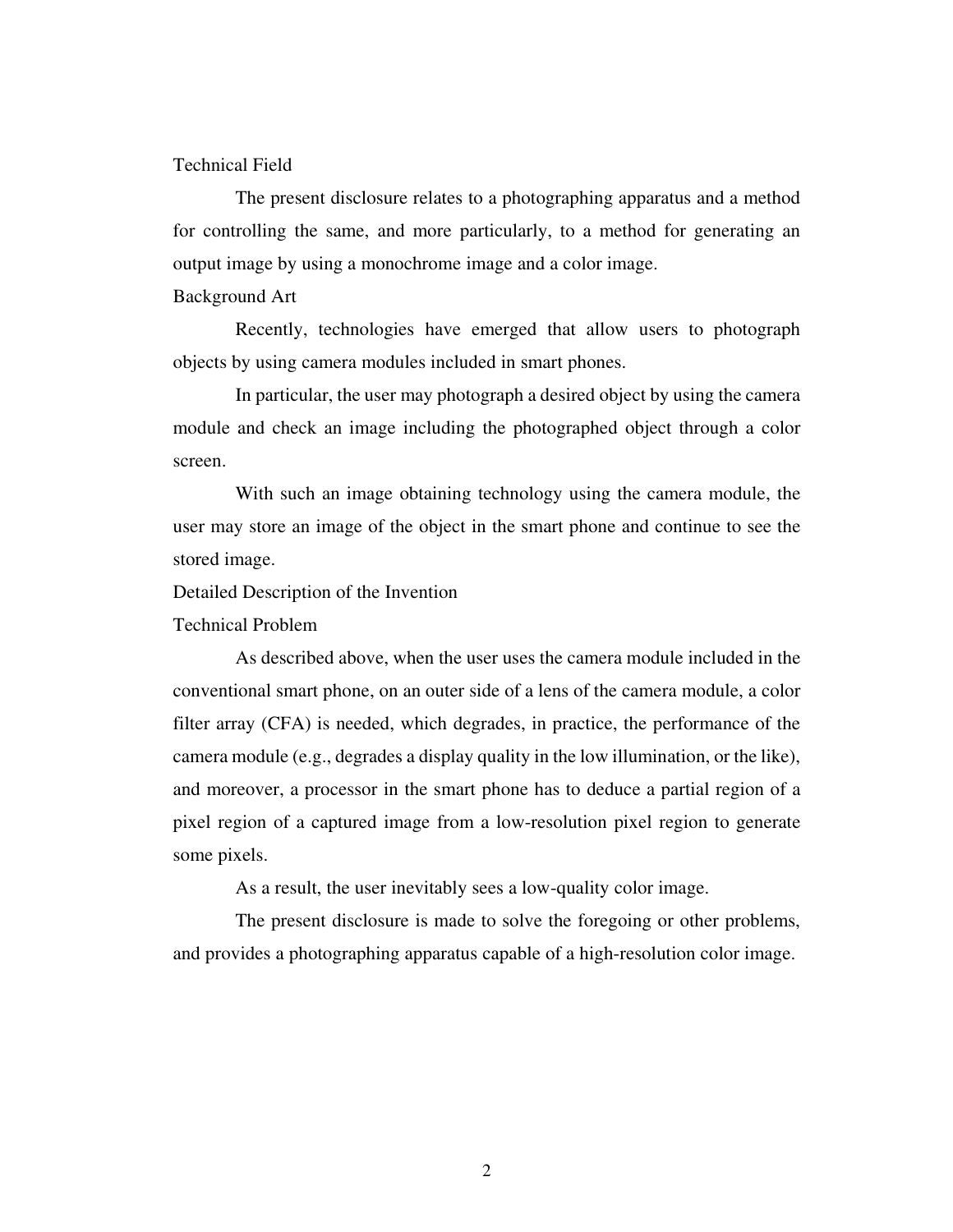#### Technical Field

 The present disclosure relates to a photographing apparatus and a method for controlling the same, and more particularly, to a method for generating an output image by using a monochrome image and a color image.

Background Art

 Recently, technologies have emerged that allow users to photograph objects by using camera modules included in smart phones.

 In particular, the user may photograph a desired object by using the camera module and check an image including the photographed object through a color screen.

 With such an image obtaining technology using the camera module, the user may store an image of the object in the smart phone and continue to see the stored image.

Detailed Description of the Invention

Technical Problem

 As described above, when the user uses the camera module included in the conventional smart phone, on an outer side of a lens of the camera module, a color filter array (CFA) is needed, which degrades, in practice, the performance of the camera module (e.g., degrades a display quality in the low illumination, or the like), and moreover, a processor in the smart phone has to deduce a partial region of a pixel region of a captured image from a low-resolution pixel region to generate some pixels.

As a result, the user inevitably sees a low-quality color image.

 The present disclosure is made to solve the foregoing or other problems, and provides a photographing apparatus capable of a high-resolution color image.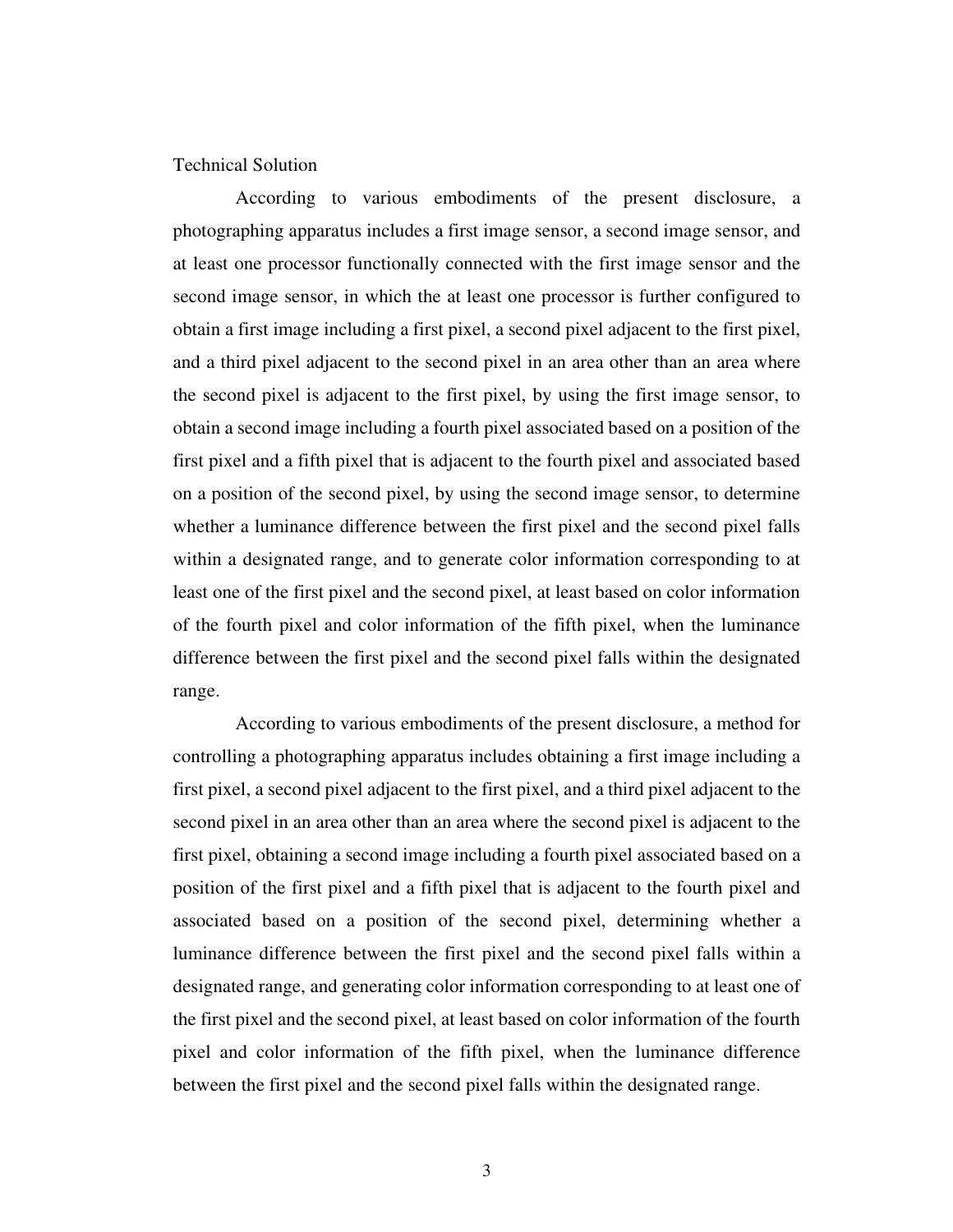### Technical Solution

 According to various embodiments of the present disclosure, a photographing apparatus includes a first image sensor, a second image sensor, and at least one processor functionally connected with the first image sensor and the second image sensor, in which the at least one processor is further configured to obtain a first image including a first pixel, a second pixel adjacent to the first pixel, and a third pixel adjacent to the second pixel in an area other than an area where the second pixel is adjacent to the first pixel, by using the first image sensor, to obtain a second image including a fourth pixel associated based on a position of the first pixel and a fifth pixel that is adjacent to the fourth pixel and associated based on a position of the second pixel, by using the second image sensor, to determine whether a luminance difference between the first pixel and the second pixel falls within a designated range, and to generate color information corresponding to at least one of the first pixel and the second pixel, at least based on color information of the fourth pixel and color information of the fifth pixel, when the luminance difference between the first pixel and the second pixel falls within the designated range.

 According to various embodiments of the present disclosure, a method for controlling a photographing apparatus includes obtaining a first image including a first pixel, a second pixel adjacent to the first pixel, and a third pixel adjacent to the second pixel in an area other than an area where the second pixel is adjacent to the first pixel, obtaining a second image including a fourth pixel associated based on a position of the first pixel and a fifth pixel that is adjacent to the fourth pixel and associated based on a position of the second pixel, determining whether a luminance difference between the first pixel and the second pixel falls within a designated range, and generating color information corresponding to at least one of the first pixel and the second pixel, at least based on color information of the fourth pixel and color information of the fifth pixel, when the luminance difference between the first pixel and the second pixel falls within the designated range.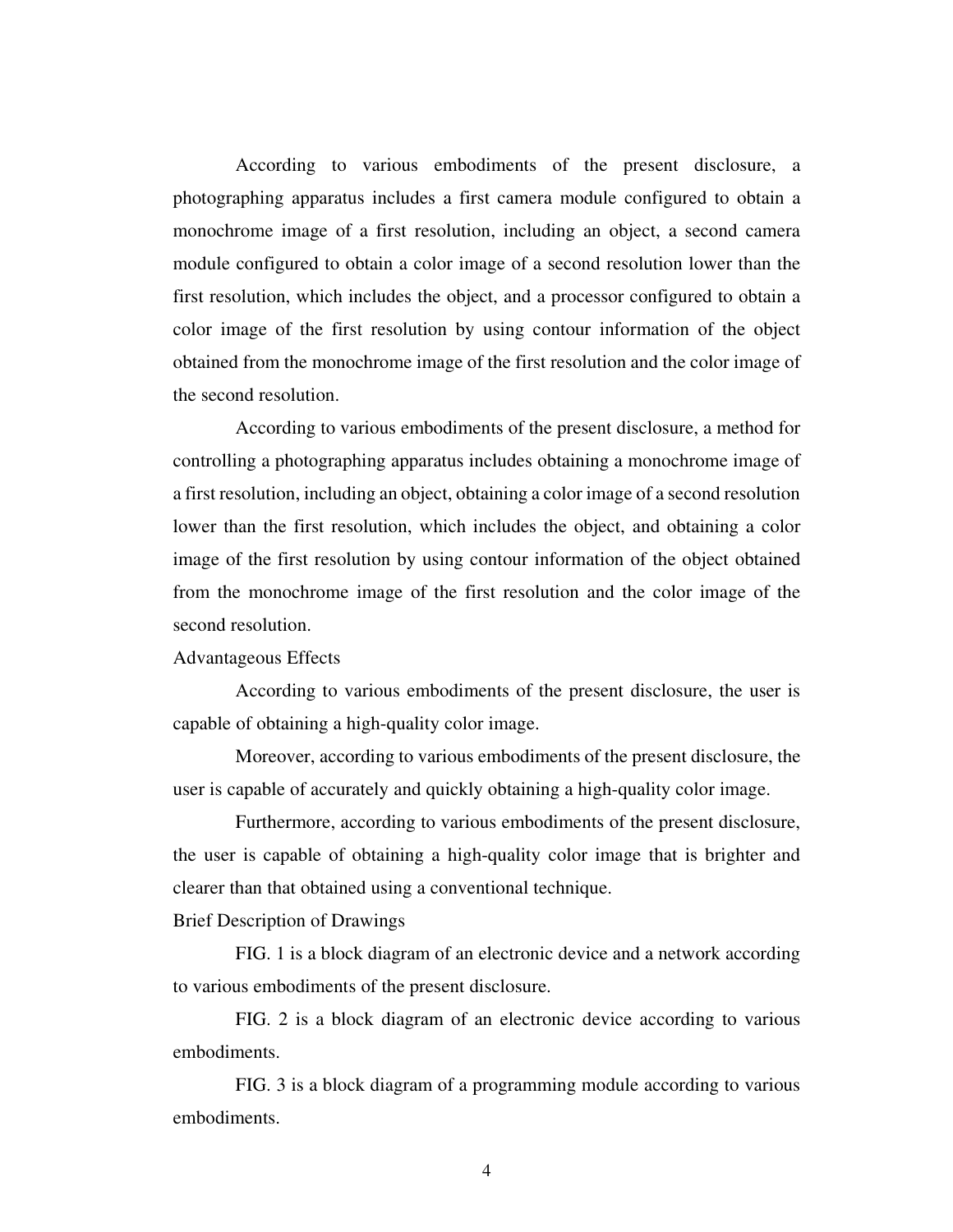According to various embodiments of the present disclosure, a photographing apparatus includes a first camera module configured to obtain a monochrome image of a first resolution, including an object, a second camera module configured to obtain a color image of a second resolution lower than the first resolution, which includes the object, and a processor configured to obtain a color image of the first resolution by using contour information of the object obtained from the monochrome image of the first resolution and the color image of the second resolution.

 According to various embodiments of the present disclosure, a method for controlling a photographing apparatus includes obtaining a monochrome image of a first resolution, including an object, obtaining a color image of a second resolution lower than the first resolution, which includes the object, and obtaining a color image of the first resolution by using contour information of the object obtained from the monochrome image of the first resolution and the color image of the second resolution.

### Advantageous Effects

 According to various embodiments of the present disclosure, the user is capable of obtaining a high-quality color image.

 Moreover, according to various embodiments of the present disclosure, the user is capable of accurately and quickly obtaining a high-quality color image.

 Furthermore, according to various embodiments of the present disclosure, the user is capable of obtaining a high-quality color image that is brighter and clearer than that obtained using a conventional technique.

## Brief Description of Drawings

 FIG. 1 is a block diagram of an electronic device and a network according to various embodiments of the present disclosure.

 FIG. 2 is a block diagram of an electronic device according to various embodiments.

 FIG. 3 is a block diagram of a programming module according to various embodiments.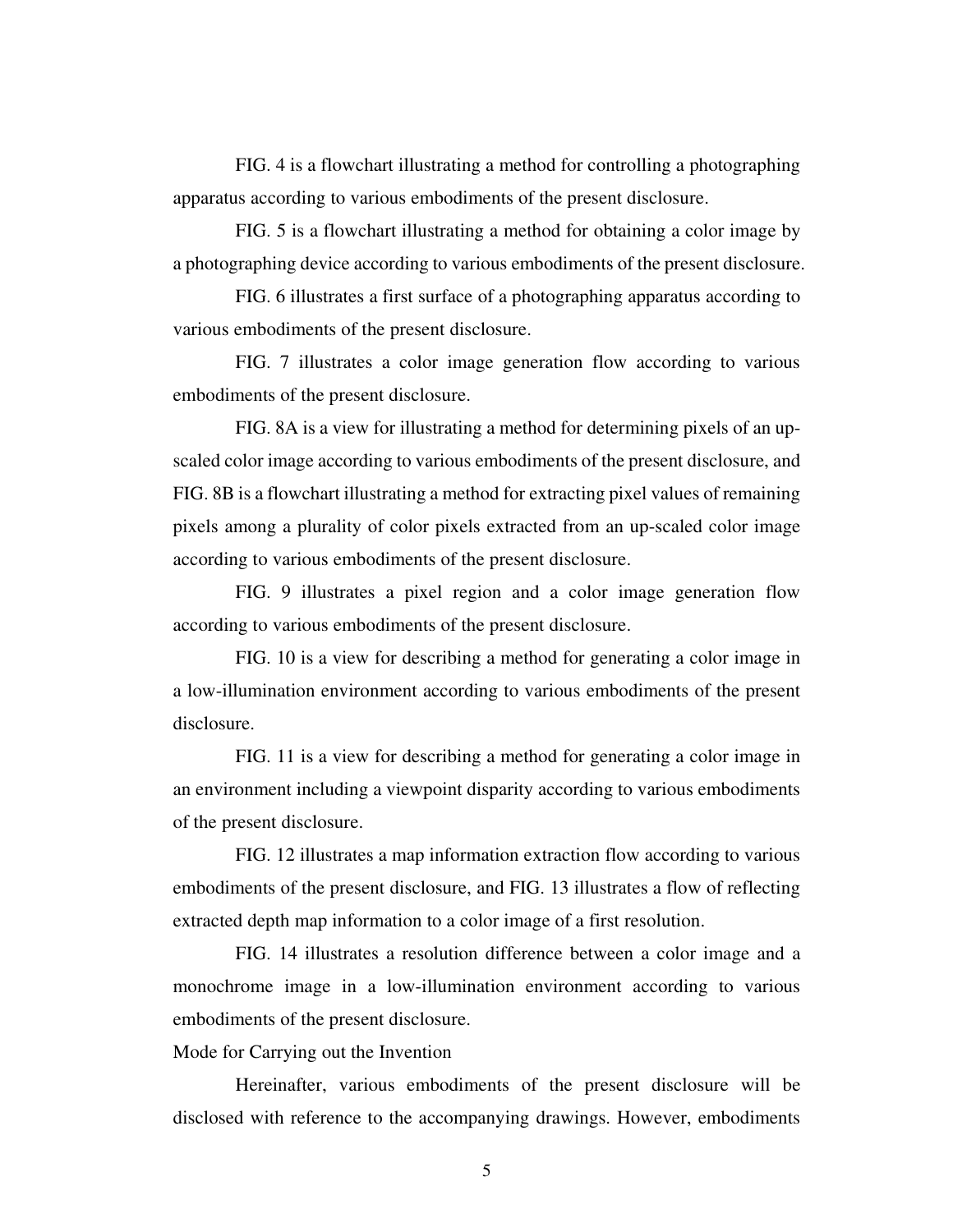FIG. 4 is a flowchart illustrating a method for controlling a photographing apparatus according to various embodiments of the present disclosure.

 FIG. 5 is a flowchart illustrating a method for obtaining a color image by a photographing device according to various embodiments of the present disclosure.

 FIG. 6 illustrates a first surface of a photographing apparatus according to various embodiments of the present disclosure.

 FIG. 7 illustrates a color image generation flow according to various embodiments of the present disclosure.

 FIG. 8A is a view for illustrating a method for determining pixels of an upscaled color image according to various embodiments of the present disclosure, and FIG. 8B is a flowchart illustrating a method for extracting pixel values of remaining pixels among a plurality of color pixels extracted from an up-scaled color image according to various embodiments of the present disclosure.

 FIG. 9 illustrates a pixel region and a color image generation flow according to various embodiments of the present disclosure.

 FIG. 10 is a view for describing a method for generating a color image in a low-illumination environment according to various embodiments of the present disclosure.

 FIG. 11 is a view for describing a method for generating a color image in an environment including a viewpoint disparity according to various embodiments of the present disclosure.

 FIG. 12 illustrates a map information extraction flow according to various embodiments of the present disclosure, and FIG. 13 illustrates a flow of reflecting extracted depth map information to a color image of a first resolution.

 FIG. 14 illustrates a resolution difference between a color image and a monochrome image in a low-illumination environment according to various embodiments of the present disclosure.

Mode for Carrying out the Invention

 Hereinafter, various embodiments of the present disclosure will be disclosed with reference to the accompanying drawings. However, embodiments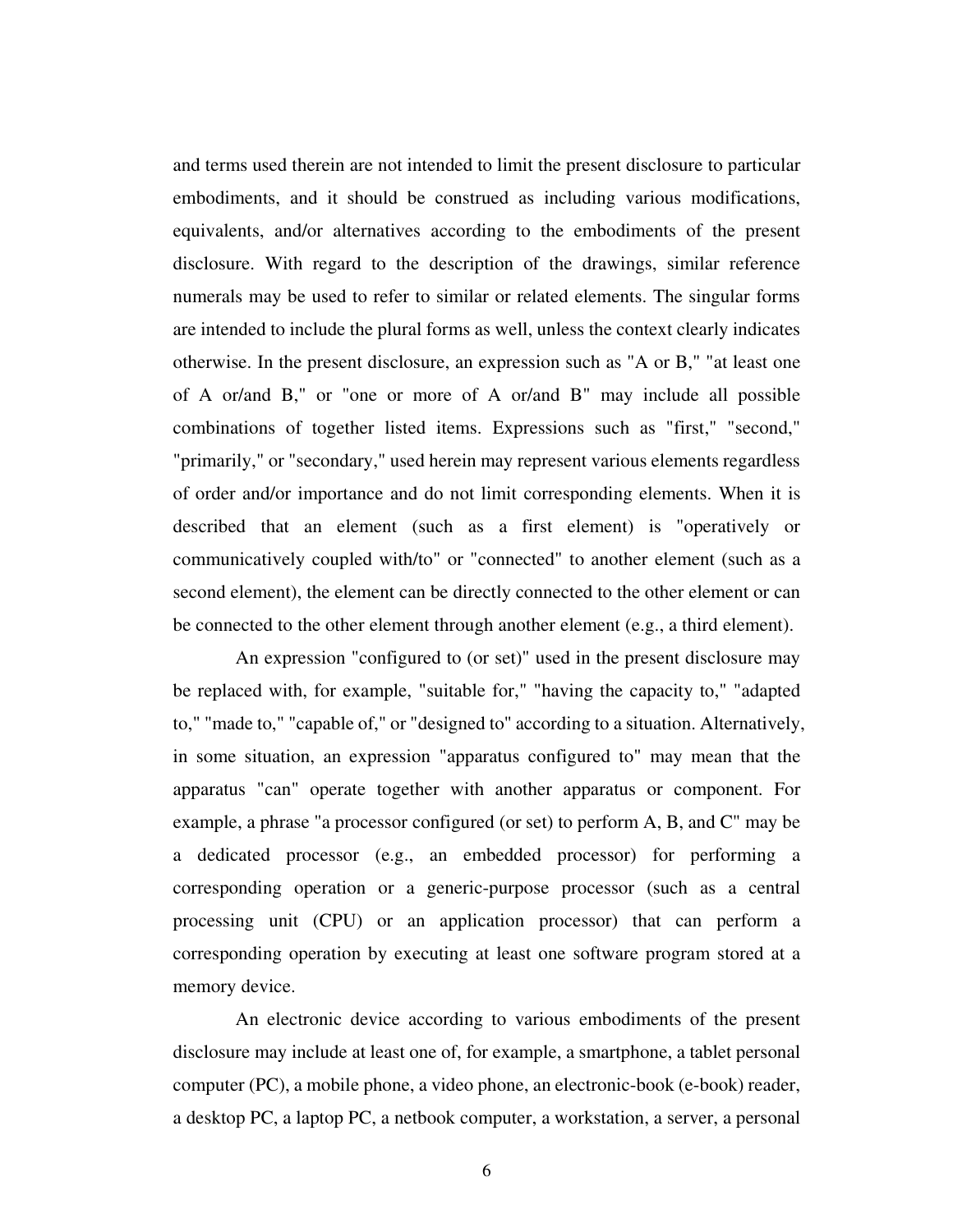and terms used therein are not intended to limit the present disclosure to particular embodiments, and it should be construed as including various modifications, equivalents, and/or alternatives according to the embodiments of the present disclosure. With regard to the description of the drawings, similar reference numerals may be used to refer to similar or related elements. The singular forms are intended to include the plural forms as well, unless the context clearly indicates otherwise. In the present disclosure, an expression such as "A or B," "at least one of A or/and B," or "one or more of A or/and B" may include all possible combinations of together listed items. Expressions such as "first," "second," "primarily," or "secondary," used herein may represent various elements regardless of order and/or importance and do not limit corresponding elements. When it is described that an element (such as a first element) is "operatively or communicatively coupled with/to" or "connected" to another element (such as a second element), the element can be directly connected to the other element or can be connected to the other element through another element (e.g., a third element).

 An expression "configured to (or set)" used in the present disclosure may be replaced with, for example, "suitable for," "having the capacity to," "adapted to," "made to," "capable of," or "designed to" according to a situation. Alternatively, in some situation, an expression "apparatus configured to" may mean that the apparatus "can" operate together with another apparatus or component. For example, a phrase "a processor configured (or set) to perform A, B, and C" may be a dedicated processor (e.g., an embedded processor) for performing a corresponding operation or a generic-purpose processor (such as a central processing unit (CPU) or an application processor) that can perform a corresponding operation by executing at least one software program stored at a memory device.

 An electronic device according to various embodiments of the present disclosure may include at least one of, for example, a smartphone, a tablet personal computer (PC), a mobile phone, a video phone, an electronic-book (e-book) reader, a desktop PC, a laptop PC, a netbook computer, a workstation, a server, a personal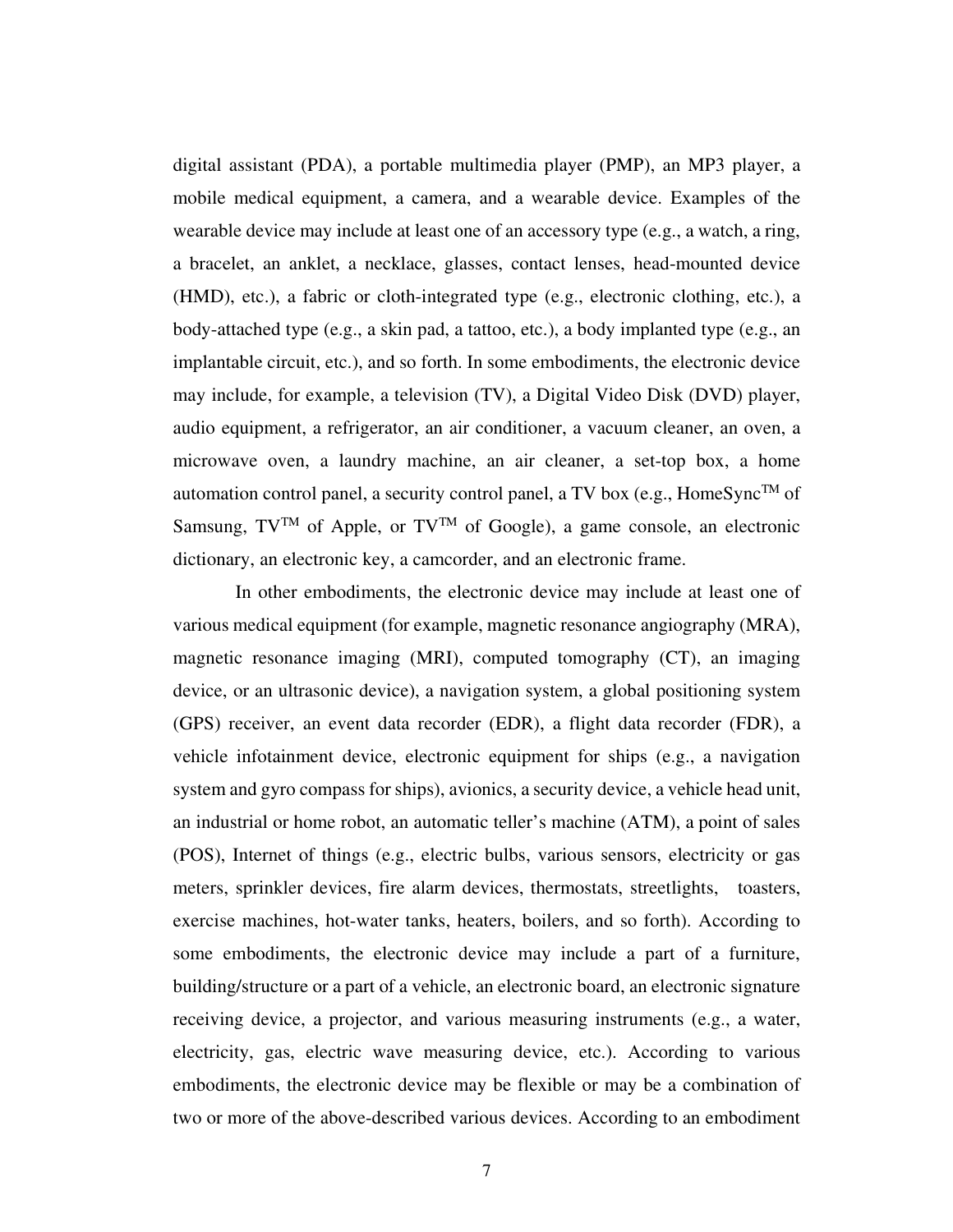digital assistant (PDA), a portable multimedia player (PMP), an MP3 player, a mobile medical equipment, a camera, and a wearable device. Examples of the wearable device may include at least one of an accessory type (e.g., a watch, a ring, a bracelet, an anklet, a necklace, glasses, contact lenses, head-mounted device (HMD), etc.), a fabric or cloth-integrated type (e.g., electronic clothing, etc.), a body-attached type (e.g., a skin pad, a tattoo, etc.), a body implanted type (e.g., an implantable circuit, etc.), and so forth. In some embodiments, the electronic device may include, for example, a television (TV), a Digital Video Disk (DVD) player, audio equipment, a refrigerator, an air conditioner, a vacuum cleaner, an oven, a microwave oven, a laundry machine, an air cleaner, a set-top box, a home automation control panel, a security control panel, a TV box (e.g., HomeSyncTM of Samsung,  $TV^{TM}$  of Apple, or  $TV^{TM}$  of Google), a game console, an electronic dictionary, an electronic key, a camcorder, and an electronic frame.

 In other embodiments, the electronic device may include at least one of various medical equipment (for example, magnetic resonance angiography (MRA), magnetic resonance imaging (MRI), computed tomography (CT), an imaging device, or an ultrasonic device), a navigation system, a global positioning system (GPS) receiver, an event data recorder (EDR), a flight data recorder (FDR), a vehicle infotainment device, electronic equipment for ships (e.g., a navigation system and gyro compass for ships), avionics, a security device, a vehicle head unit, an industrial or home robot, an automatic teller's machine (ATM), a point of sales (POS), Internet of things (e.g., electric bulbs, various sensors, electricity or gas meters, sprinkler devices, fire alarm devices, thermostats, streetlights, toasters, exercise machines, hot-water tanks, heaters, boilers, and so forth). According to some embodiments, the electronic device may include a part of a furniture, building/structure or a part of a vehicle, an electronic board, an electronic signature receiving device, a projector, and various measuring instruments (e.g., a water, electricity, gas, electric wave measuring device, etc.). According to various embodiments, the electronic device may be flexible or may be a combination of two or more of the above-described various devices. According to an embodiment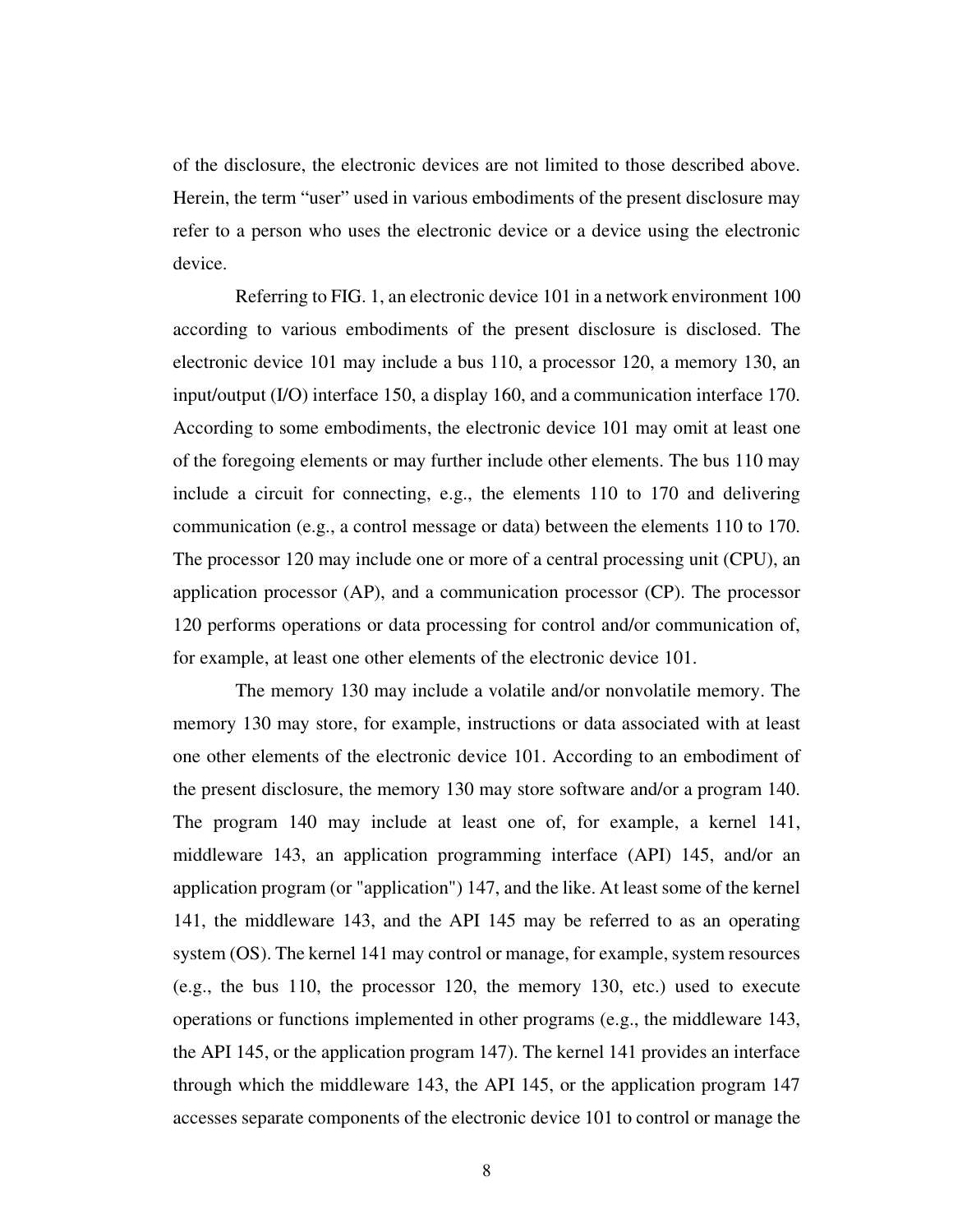of the disclosure, the electronic devices are not limited to those described above. Herein, the term "user" used in various embodiments of the present disclosure may refer to a person who uses the electronic device or a device using the electronic device.

 Referring to FIG. 1, an electronic device 101 in a network environment 100 according to various embodiments of the present disclosure is disclosed. The electronic device 101 may include a bus 110, a processor 120, a memory 130, an input/output (I/O) interface 150, a display 160, and a communication interface 170. According to some embodiments, the electronic device 101 may omit at least one of the foregoing elements or may further include other elements. The bus 110 may include a circuit for connecting, e.g., the elements 110 to 170 and delivering communication (e.g., a control message or data) between the elements 110 to 170. The processor 120 may include one or more of a central processing unit (CPU), an application processor (AP), and a communication processor (CP). The processor 120 performs operations or data processing for control and/or communication of, for example, at least one other elements of the electronic device 101.

 The memory 130 may include a volatile and/or nonvolatile memory. The memory 130 may store, for example, instructions or data associated with at least one other elements of the electronic device 101. According to an embodiment of the present disclosure, the memory 130 may store software and/or a program 140. The program 140 may include at least one of, for example, a kernel 141, middleware 143, an application programming interface (API) 145, and/or an application program (or "application") 147, and the like. At least some of the kernel 141, the middleware 143, and the API 145 may be referred to as an operating system (OS). The kernel 141 may control or manage, for example, system resources (e.g., the bus 110, the processor 120, the memory 130, etc.) used to execute operations or functions implemented in other programs (e.g., the middleware 143, the API 145, or the application program 147). The kernel 141 provides an interface through which the middleware 143, the API 145, or the application program 147 accesses separate components of the electronic device 101 to control or manage the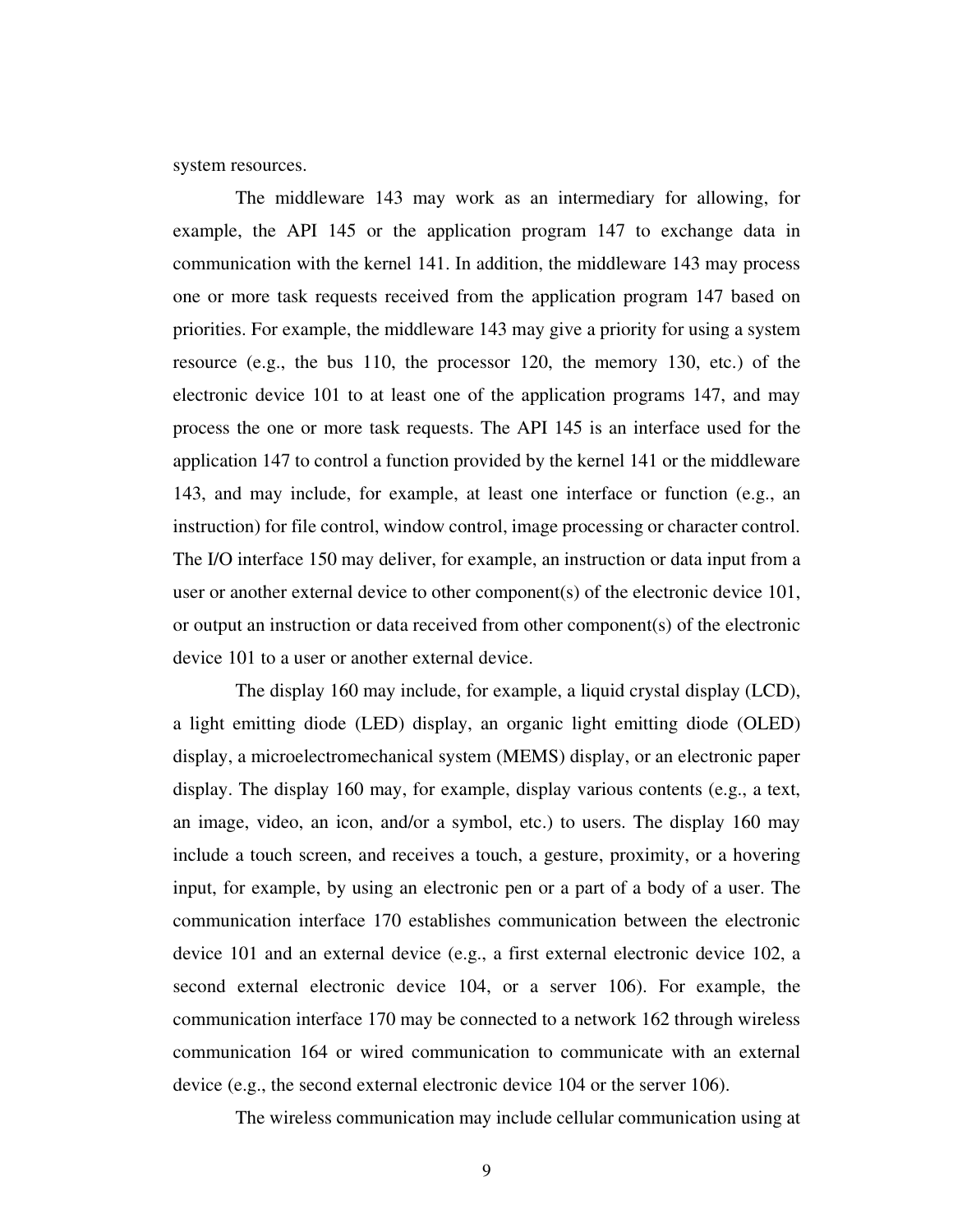system resources.

 The middleware 143 may work as an intermediary for allowing, for example, the API 145 or the application program 147 to exchange data in communication with the kernel 141. In addition, the middleware 143 may process one or more task requests received from the application program 147 based on priorities. For example, the middleware 143 may give a priority for using a system resource (e.g., the bus 110, the processor 120, the memory 130, etc.) of the electronic device 101 to at least one of the application programs 147, and may process the one or more task requests. The API 145 is an interface used for the application 147 to control a function provided by the kernel 141 or the middleware 143, and may include, for example, at least one interface or function (e.g., an instruction) for file control, window control, image processing or character control. The I/O interface 150 may deliver, for example, an instruction or data input from a user or another external device to other component(s) of the electronic device 101, or output an instruction or data received from other component(s) of the electronic device 101 to a user or another external device.

 The display 160 may include, for example, a liquid crystal display (LCD), a light emitting diode (LED) display, an organic light emitting diode (OLED) display, a microelectromechanical system (MEMS) display, or an electronic paper display. The display 160 may, for example, display various contents (e.g., a text, an image, video, an icon, and/or a symbol, etc.) to users. The display 160 may include a touch screen, and receives a touch, a gesture, proximity, or a hovering input, for example, by using an electronic pen or a part of a body of a user. The communication interface 170 establishes communication between the electronic device 101 and an external device (e.g., a first external electronic device 102, a second external electronic device 104, or a server 106). For example, the communication interface 170 may be connected to a network 162 through wireless communication 164 or wired communication to communicate with an external device (e.g., the second external electronic device 104 or the server 106).

The wireless communication may include cellular communication using at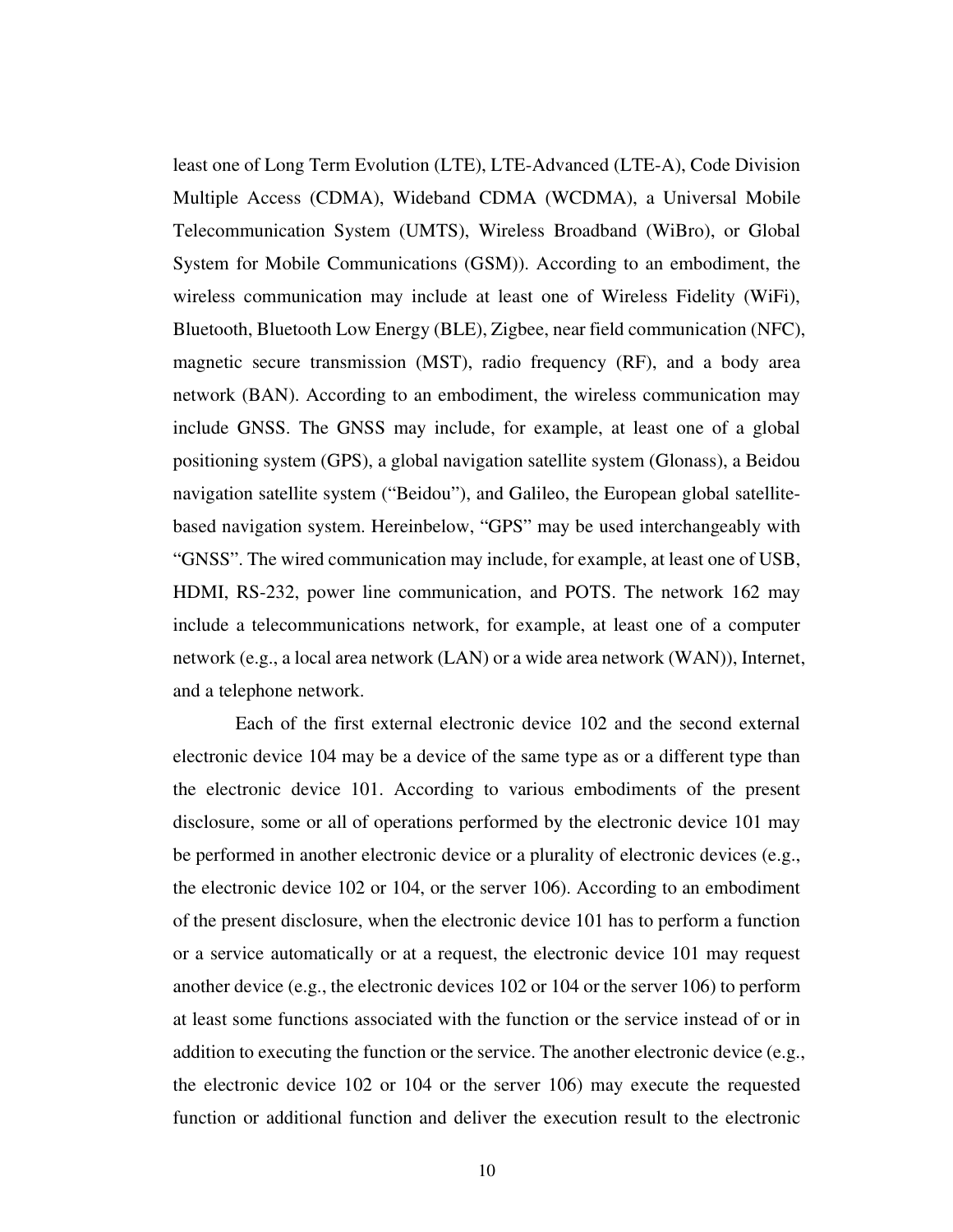least one of Long Term Evolution (LTE), LTE-Advanced (LTE-A), Code Division Multiple Access (CDMA), Wideband CDMA (WCDMA), a Universal Mobile Telecommunication System (UMTS), Wireless Broadband (WiBro), or Global System for Mobile Communications (GSM)). According to an embodiment, the wireless communication may include at least one of Wireless Fidelity (WiFi), Bluetooth, Bluetooth Low Energy (BLE), Zigbee, near field communication (NFC), magnetic secure transmission (MST), radio frequency (RF), and a body area network (BAN). According to an embodiment, the wireless communication may include GNSS. The GNSS may include, for example, at least one of a global positioning system (GPS), a global navigation satellite system (Glonass), a Beidou navigation satellite system ("Beidou"), and Galileo, the European global satellitebased navigation system. Hereinbelow, "GPS" may be used interchangeably with "GNSS". The wired communication may include, for example, at least one of USB, HDMI, RS-232, power line communication, and POTS. The network 162 may include a telecommunications network, for example, at least one of a computer network (e.g., a local area network (LAN) or a wide area network (WAN)), Internet, and a telephone network.

 Each of the first external electronic device 102 and the second external electronic device 104 may be a device of the same type as or a different type than the electronic device 101. According to various embodiments of the present disclosure, some or all of operations performed by the electronic device 101 may be performed in another electronic device or a plurality of electronic devices (e.g., the electronic device 102 or 104, or the server 106). According to an embodiment of the present disclosure, when the electronic device 101 has to perform a function or a service automatically or at a request, the electronic device 101 may request another device (e.g., the electronic devices 102 or 104 or the server 106) to perform at least some functions associated with the function or the service instead of or in addition to executing the function or the service. The another electronic device (e.g., the electronic device 102 or 104 or the server 106) may execute the requested function or additional function and deliver the execution result to the electronic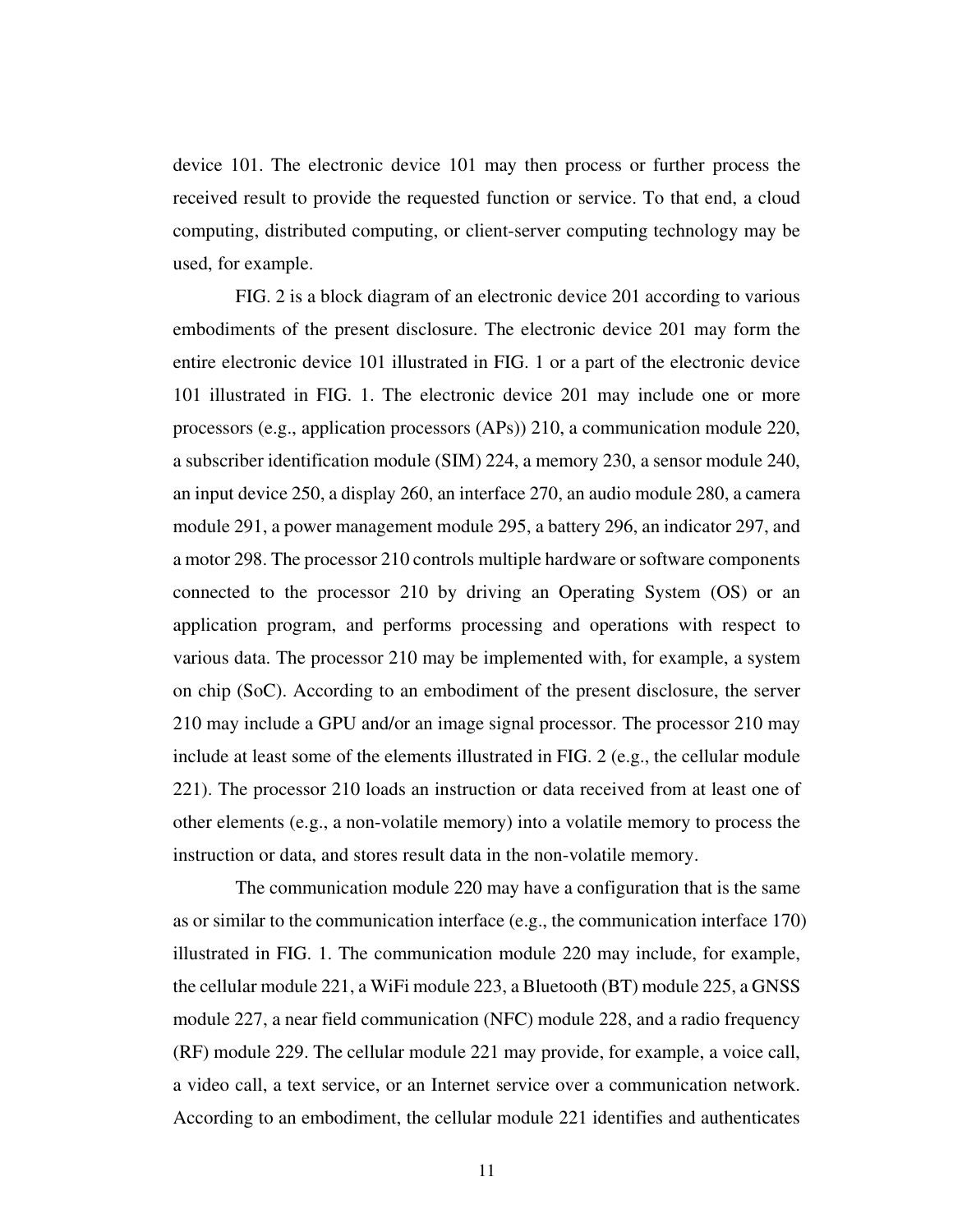device 101. The electronic device 101 may then process or further process the received result to provide the requested function or service. To that end, a cloud computing, distributed computing, or client-server computing technology may be used, for example.

 FIG. 2 is a block diagram of an electronic device 201 according to various embodiments of the present disclosure. The electronic device 201 may form the entire electronic device 101 illustrated in FIG. 1 or a part of the electronic device 101 illustrated in FIG. 1. The electronic device 201 may include one or more processors (e.g., application processors (APs)) 210, a communication module 220, a subscriber identification module (SIM) 224, a memory 230, a sensor module 240, an input device 250, a display 260, an interface 270, an audio module 280, a camera module 291, a power management module 295, a battery 296, an indicator 297, and a motor 298. The processor 210 controls multiple hardware or software components connected to the processor 210 by driving an Operating System (OS) or an application program, and performs processing and operations with respect to various data. The processor 210 may be implemented with, for example, a system on chip (SoC). According to an embodiment of the present disclosure, the server 210 may include a GPU and/or an image signal processor. The processor 210 may include at least some of the elements illustrated in FIG. 2 (e.g., the cellular module 221). The processor 210 loads an instruction or data received from at least one of other elements (e.g., a non-volatile memory) into a volatile memory to process the instruction or data, and stores result data in the non-volatile memory.

 The communication module 220 may have a configuration that is the same as or similar to the communication interface (e.g., the communication interface 170) illustrated in FIG. 1. The communication module 220 may include, for example, the cellular module 221, a WiFi module 223, a Bluetooth (BT) module 225, a GNSS module 227, a near field communication (NFC) module 228, and a radio frequency (RF) module 229. The cellular module 221 may provide, for example, a voice call, a video call, a text service, or an Internet service over a communication network. According to an embodiment, the cellular module 221 identifies and authenticates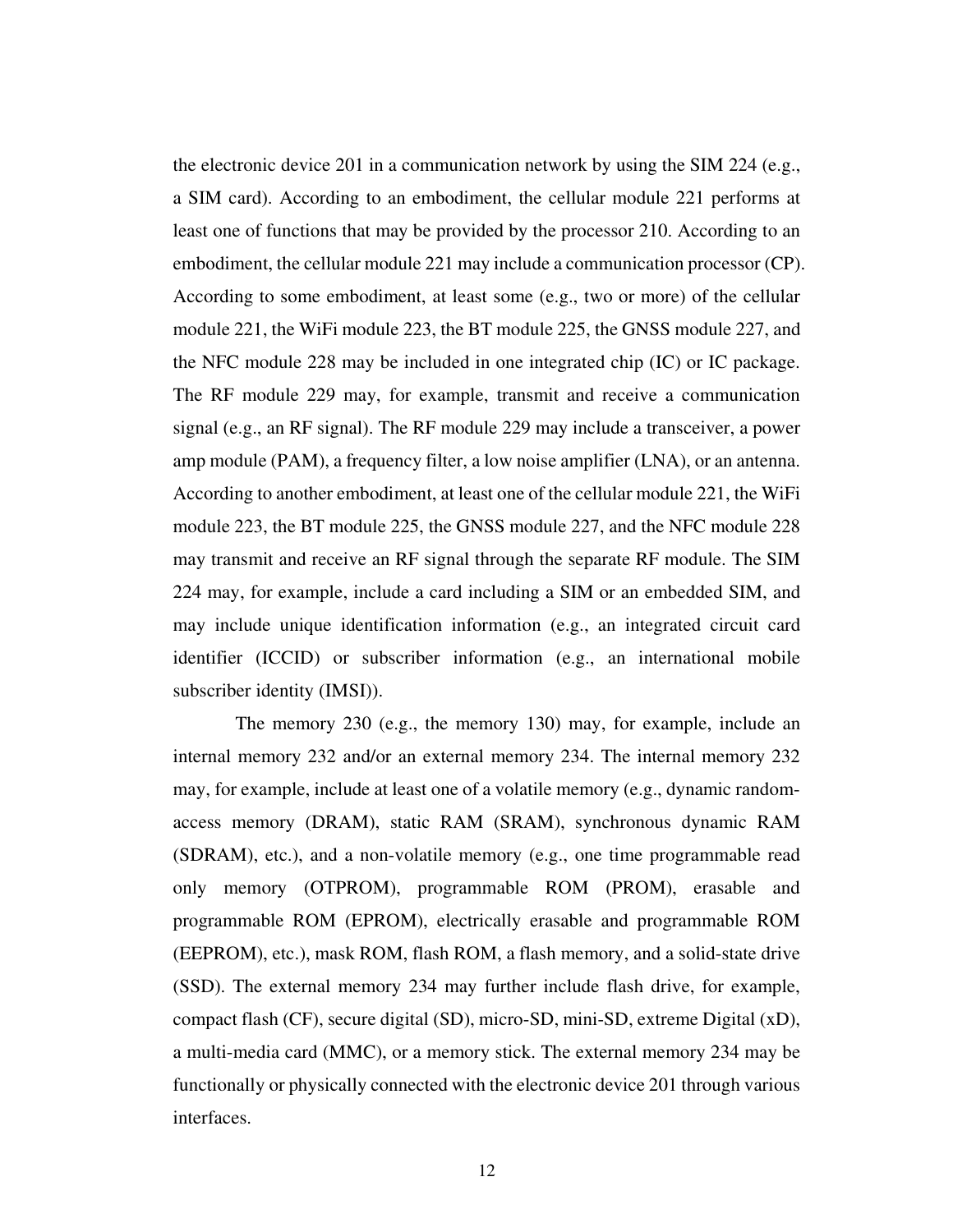the electronic device 201 in a communication network by using the SIM 224 (e.g., a SIM card). According to an embodiment, the cellular module 221 performs at least one of functions that may be provided by the processor 210. According to an embodiment, the cellular module 221 may include a communication processor (CP). According to some embodiment, at least some (e.g., two or more) of the cellular module 221, the WiFi module 223, the BT module 225, the GNSS module 227, and the NFC module 228 may be included in one integrated chip (IC) or IC package. The RF module 229 may, for example, transmit and receive a communication signal (e.g., an RF signal). The RF module 229 may include a transceiver, a power amp module (PAM), a frequency filter, a low noise amplifier (LNA), or an antenna. According to another embodiment, at least one of the cellular module 221, the WiFi module 223, the BT module 225, the GNSS module 227, and the NFC module 228 may transmit and receive an RF signal through the separate RF module. The SIM 224 may, for example, include a card including a SIM or an embedded SIM, and may include unique identification information (e.g., an integrated circuit card identifier (ICCID) or subscriber information (e.g., an international mobile subscriber identity (IMSI)).

 The memory 230 (e.g., the memory 130) may, for example, include an internal memory 232 and/or an external memory 234. The internal memory 232 may, for example, include at least one of a volatile memory (e.g., dynamic randomaccess memory (DRAM), static RAM (SRAM), synchronous dynamic RAM (SDRAM), etc.), and a non-volatile memory (e.g., one time programmable read only memory (OTPROM), programmable ROM (PROM), erasable and programmable ROM (EPROM), electrically erasable and programmable ROM (EEPROM), etc.), mask ROM, flash ROM, a flash memory, and a solid-state drive (SSD). The external memory 234 may further include flash drive, for example, compact flash (CF), secure digital (SD), micro-SD, mini-SD, extreme Digital (xD), a multi-media card (MMC), or a memory stick. The external memory 234 may be functionally or physically connected with the electronic device 201 through various interfaces.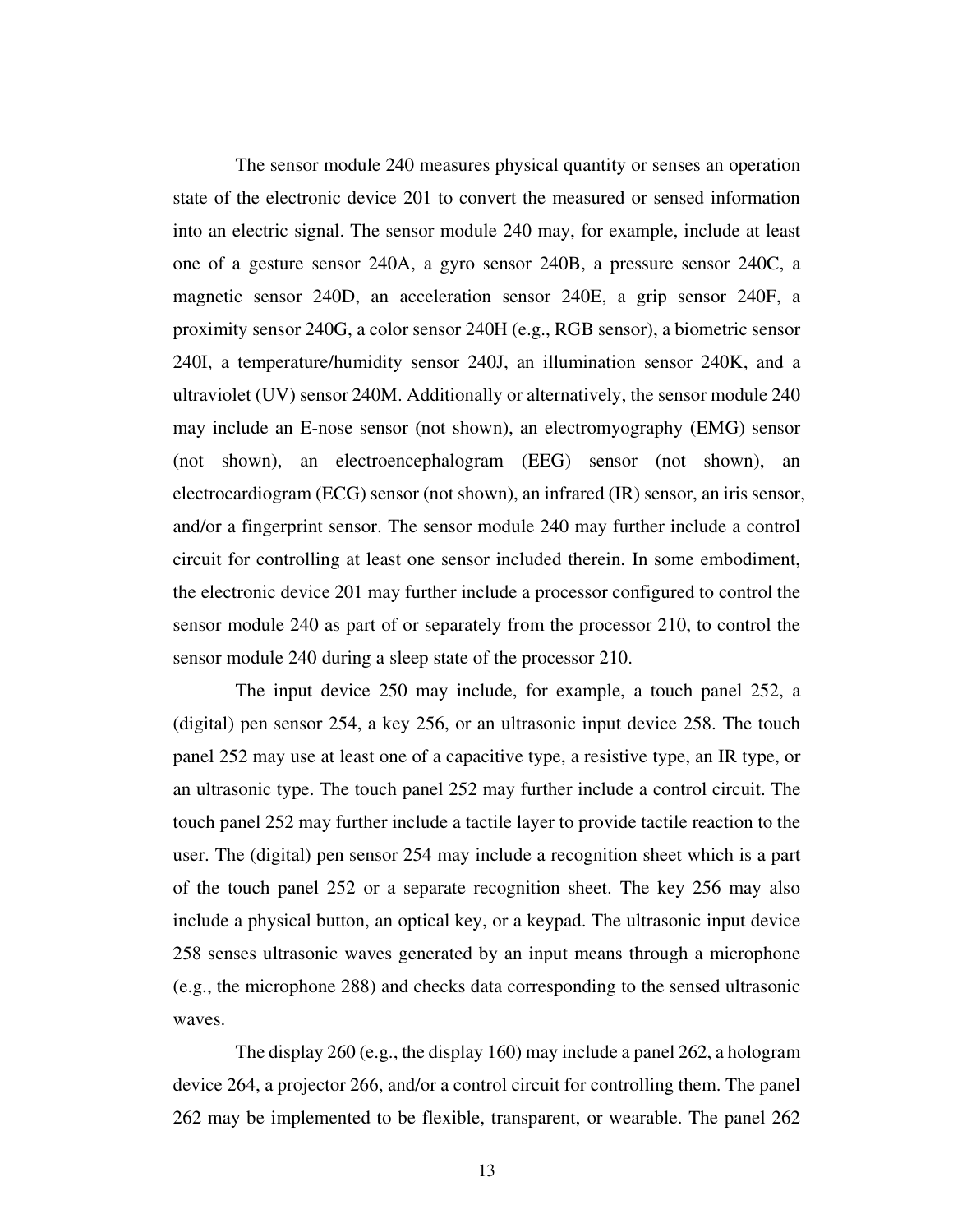The sensor module 240 measures physical quantity or senses an operation state of the electronic device 201 to convert the measured or sensed information into an electric signal. The sensor module 240 may, for example, include at least one of a gesture sensor 240A, a gyro sensor 240B, a pressure sensor 240C, a magnetic sensor 240D, an acceleration sensor 240E, a grip sensor 240F, a proximity sensor 240G, a color sensor 240H (e.g., RGB sensor), a biometric sensor 240I, a temperature/humidity sensor 240J, an illumination sensor 240K, and a ultraviolet (UV) sensor 240M. Additionally or alternatively, the sensor module 240 may include an E-nose sensor (not shown), an electromyography (EMG) sensor (not shown), an electroencephalogram (EEG) sensor (not shown), an electrocardiogram (ECG) sensor (not shown), an infrared (IR) sensor, an iris sensor, and/or a fingerprint sensor. The sensor module 240 may further include a control circuit for controlling at least one sensor included therein. In some embodiment, the electronic device 201 may further include a processor configured to control the sensor module 240 as part of or separately from the processor 210, to control the sensor module 240 during a sleep state of the processor 210.

 The input device 250 may include, for example, a touch panel 252, a (digital) pen sensor 254, a key 256, or an ultrasonic input device 258. The touch panel 252 may use at least one of a capacitive type, a resistive type, an IR type, or an ultrasonic type. The touch panel 252 may further include a control circuit. The touch panel 252 may further include a tactile layer to provide tactile reaction to the user. The (digital) pen sensor 254 may include a recognition sheet which is a part of the touch panel 252 or a separate recognition sheet. The key 256 may also include a physical button, an optical key, or a keypad. The ultrasonic input device 258 senses ultrasonic waves generated by an input means through a microphone (e.g., the microphone 288) and checks data corresponding to the sensed ultrasonic waves.

 The display 260 (e.g., the display 160) may include a panel 262, a hologram device 264, a projector 266, and/or a control circuit for controlling them. The panel 262 may be implemented to be flexible, transparent, or wearable. The panel 262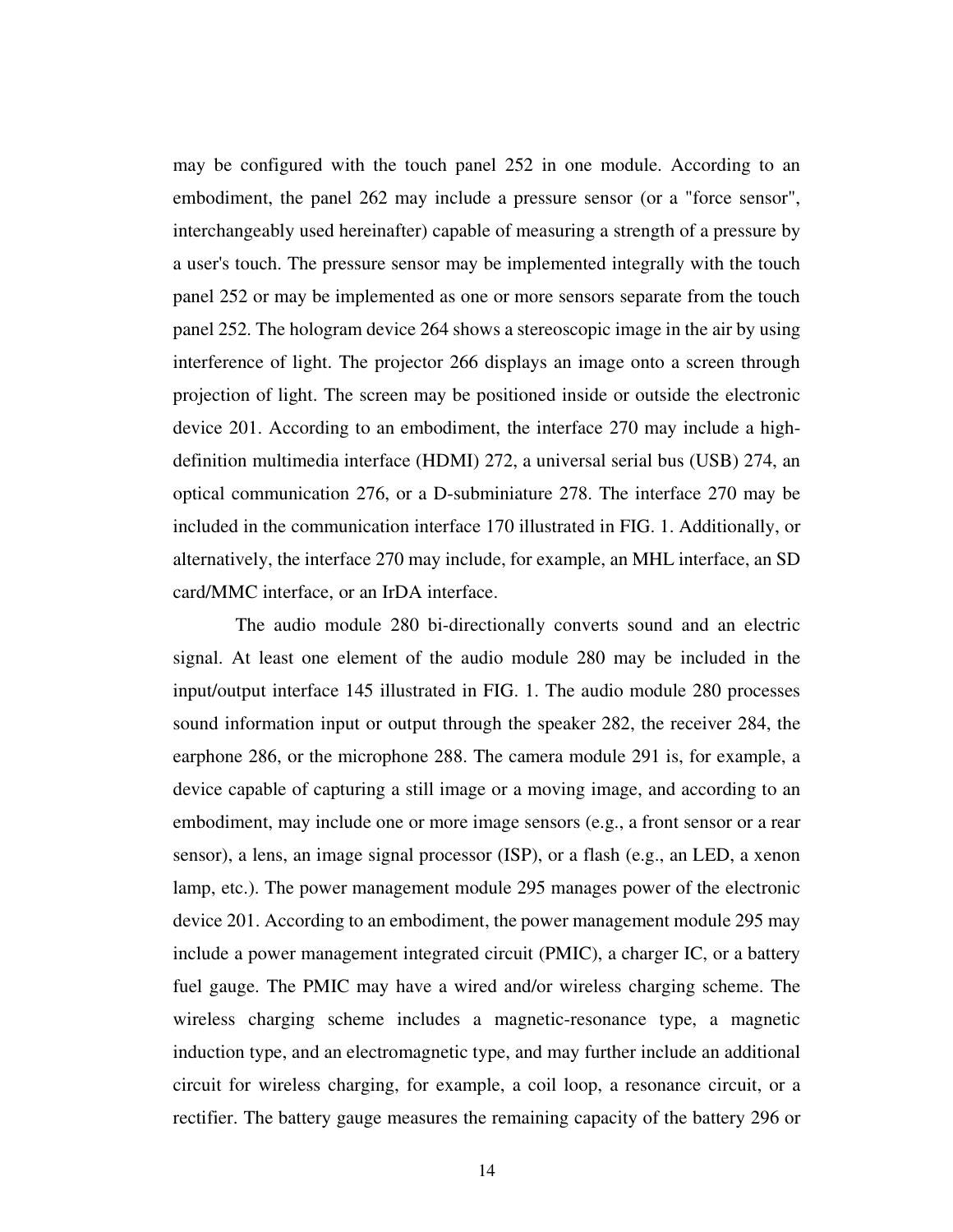may be configured with the touch panel 252 in one module. According to an embodiment, the panel 262 may include a pressure sensor (or a "force sensor", interchangeably used hereinafter) capable of measuring a strength of a pressure by a user's touch. The pressure sensor may be implemented integrally with the touch panel 252 or may be implemented as one or more sensors separate from the touch panel 252. The hologram device 264 shows a stereoscopic image in the air by using interference of light. The projector 266 displays an image onto a screen through projection of light. The screen may be positioned inside or outside the electronic device 201. According to an embodiment, the interface 270 may include a highdefinition multimedia interface (HDMI) 272, a universal serial bus (USB) 274, an optical communication 276, or a D-subminiature 278. The interface 270 may be included in the communication interface 170 illustrated in FIG. 1. Additionally, or alternatively, the interface 270 may include, for example, an MHL interface, an SD card/MMC interface, or an IrDA interface.

 The audio module 280 bi-directionally converts sound and an electric signal. At least one element of the audio module 280 may be included in the input/output interface 145 illustrated in FIG. 1. The audio module 280 processes sound information input or output through the speaker 282, the receiver 284, the earphone 286, or the microphone 288. The camera module 291 is, for example, a device capable of capturing a still image or a moving image, and according to an embodiment, may include one or more image sensors (e.g., a front sensor or a rear sensor), a lens, an image signal processor (ISP), or a flash (e.g., an LED, a xenon lamp, etc.). The power management module 295 manages power of the electronic device 201. According to an embodiment, the power management module 295 may include a power management integrated circuit (PMIC), a charger IC, or a battery fuel gauge. The PMIC may have a wired and/or wireless charging scheme. The wireless charging scheme includes a magnetic-resonance type, a magnetic induction type, and an electromagnetic type, and may further include an additional circuit for wireless charging, for example, a coil loop, a resonance circuit, or a rectifier. The battery gauge measures the remaining capacity of the battery 296 or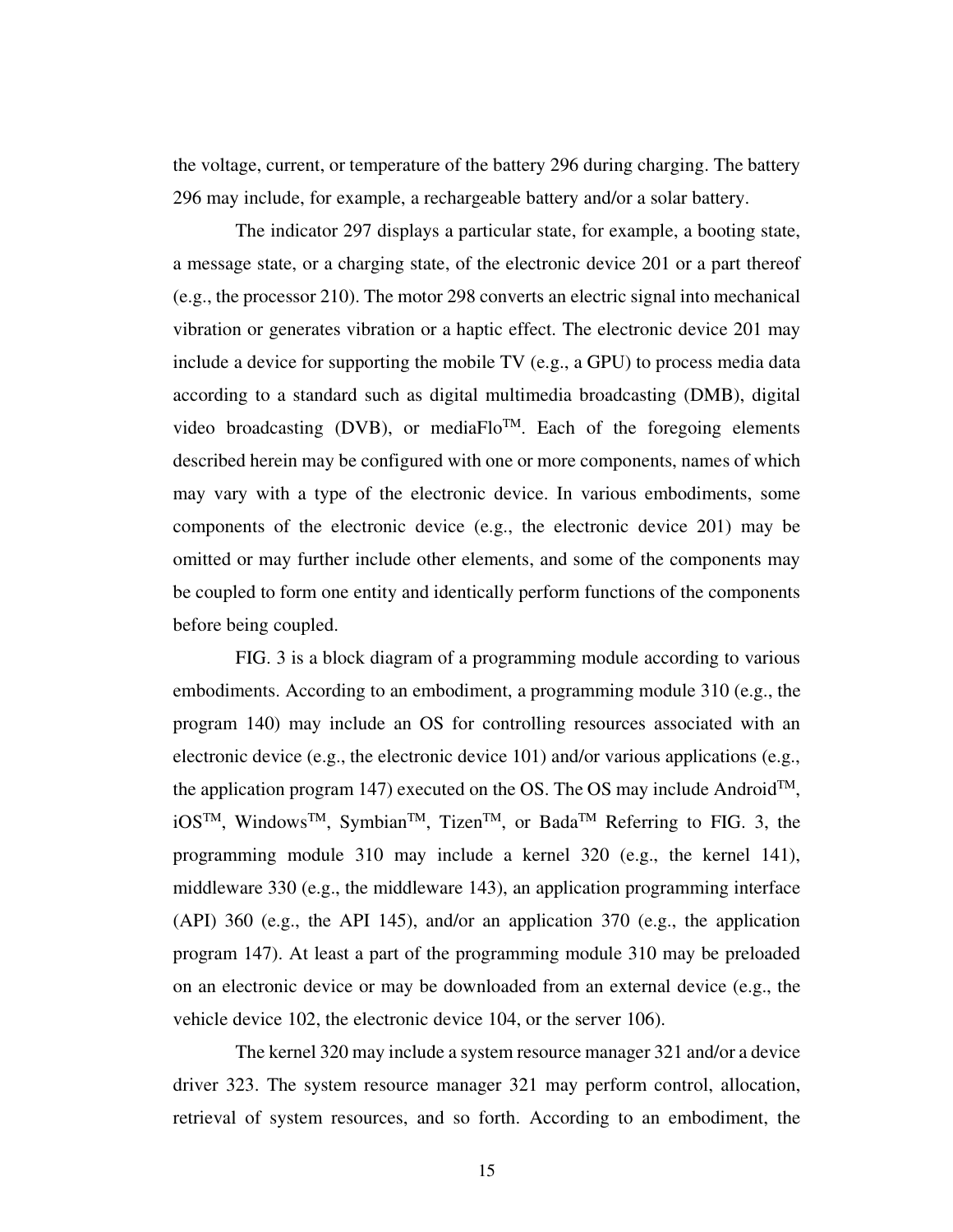the voltage, current, or temperature of the battery 296 during charging. The battery 296 may include, for example, a rechargeable battery and/or a solar battery.

 The indicator 297 displays a particular state, for example, a booting state, a message state, or a charging state, of the electronic device 201 or a part thereof (e.g., the processor 210). The motor 298 converts an electric signal into mechanical vibration or generates vibration or a haptic effect. The electronic device 201 may include a device for supporting the mobile TV (e.g., a GPU) to process media data according to a standard such as digital multimedia broadcasting (DMB), digital video broadcasting (DVB), or mediaFlo<sup>TM</sup>. Each of the foregoing elements described herein may be configured with one or more components, names of which may vary with a type of the electronic device. In various embodiments, some components of the electronic device (e.g., the electronic device 201) may be omitted or may further include other elements, and some of the components may be coupled to form one entity and identically perform functions of the components before being coupled.

 FIG. 3 is a block diagram of a programming module according to various embodiments. According to an embodiment, a programming module 310 (e.g., the program 140) may include an OS for controlling resources associated with an electronic device (e.g., the electronic device 101) and/or various applications (e.g., the application program 147) executed on the OS. The OS may include Android<sup>TM</sup>, iOS<sup>TM</sup>, Windows<sup>TM</sup>, Symbian<sup>TM</sup>, Tizen<sup>TM</sup>, or Bada<sup>TM</sup> Referring to FIG. 3, the programming module 310 may include a kernel 320 (e.g., the kernel 141), middleware 330 (e.g., the middleware 143), an application programming interface (API) 360 (e.g., the API 145), and/or an application 370 (e.g., the application program 147). At least a part of the programming module 310 may be preloaded on an electronic device or may be downloaded from an external device (e.g., the vehicle device 102, the electronic device 104, or the server 106).

 The kernel 320 may include a system resource manager 321 and/or a device driver 323. The system resource manager 321 may perform control, allocation, retrieval of system resources, and so forth. According to an embodiment, the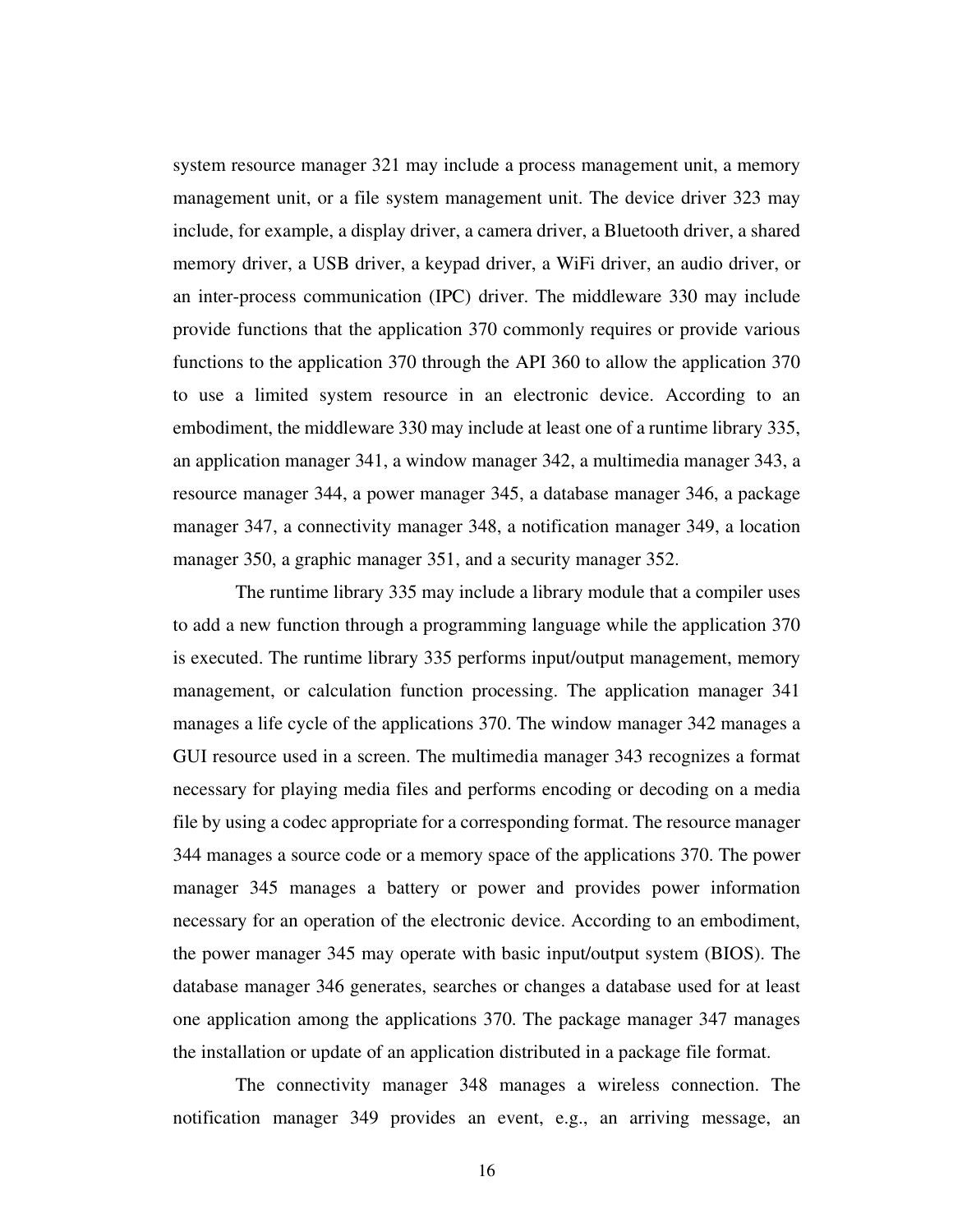system resource manager 321 may include a process management unit, a memory management unit, or a file system management unit. The device driver 323 may include, for example, a display driver, a camera driver, a Bluetooth driver, a shared memory driver, a USB driver, a keypad driver, a WiFi driver, an audio driver, or an inter-process communication (IPC) driver. The middleware 330 may include provide functions that the application 370 commonly requires or provide various functions to the application 370 through the API 360 to allow the application 370 to use a limited system resource in an electronic device. According to an embodiment, the middleware 330 may include at least one of a runtime library 335, an application manager 341, a window manager 342, a multimedia manager 343, a resource manager 344, a power manager 345, a database manager 346, a package manager 347, a connectivity manager 348, a notification manager 349, a location manager 350, a graphic manager 351, and a security manager 352.

 The runtime library 335 may include a library module that a compiler uses to add a new function through a programming language while the application 370 is executed. The runtime library 335 performs input/output management, memory management, or calculation function processing. The application manager 341 manages a life cycle of the applications 370. The window manager 342 manages a GUI resource used in a screen. The multimedia manager 343 recognizes a format necessary for playing media files and performs encoding or decoding on a media file by using a codec appropriate for a corresponding format. The resource manager 344 manages a source code or a memory space of the applications 370. The power manager 345 manages a battery or power and provides power information necessary for an operation of the electronic device. According to an embodiment, the power manager 345 may operate with basic input/output system (BIOS). The database manager 346 generates, searches or changes a database used for at least one application among the applications 370. The package manager 347 manages the installation or update of an application distributed in a package file format.

 The connectivity manager 348 manages a wireless connection. The notification manager 349 provides an event, e.g., an arriving message, an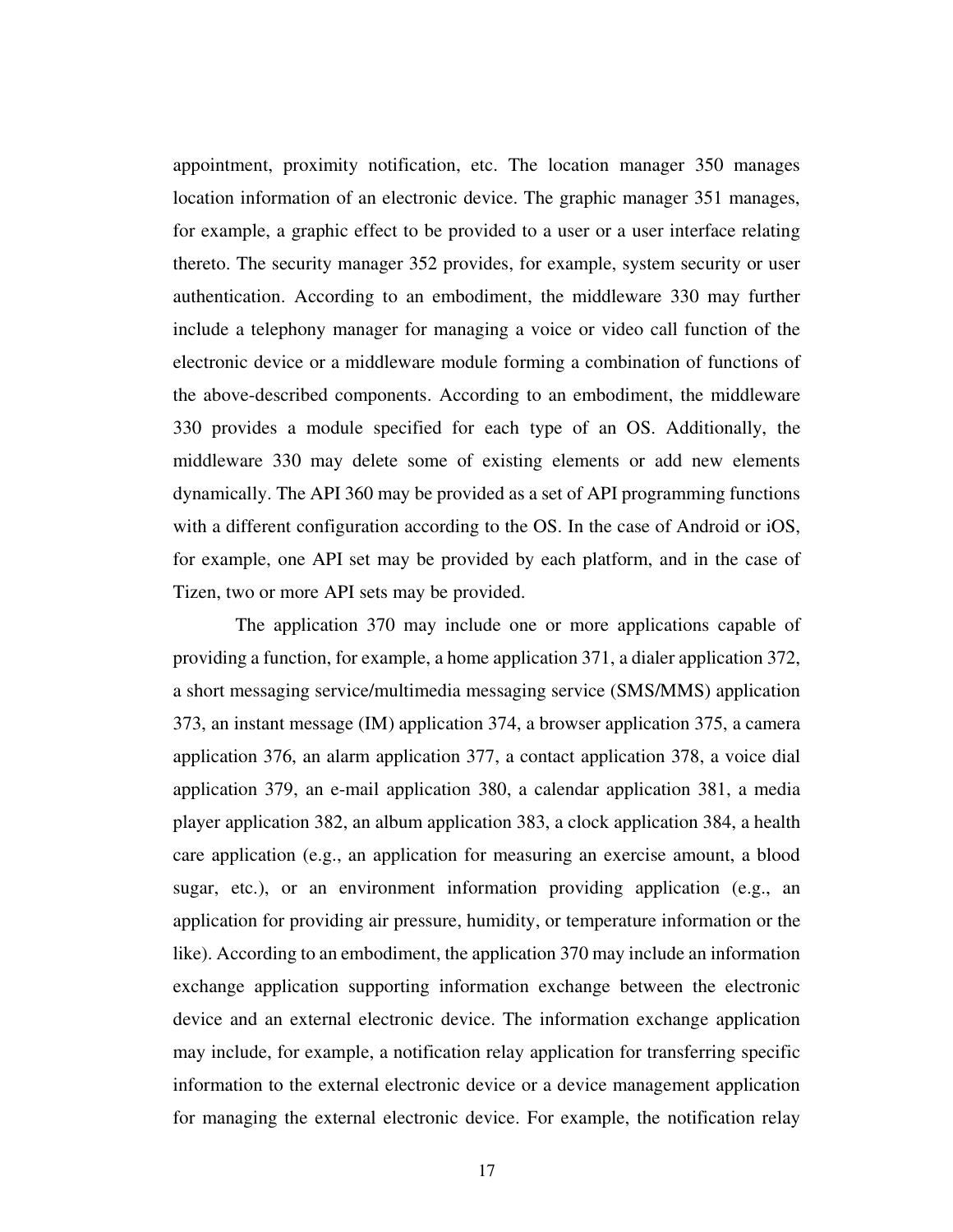appointment, proximity notification, etc. The location manager 350 manages location information of an electronic device. The graphic manager 351 manages, for example, a graphic effect to be provided to a user or a user interface relating thereto. The security manager 352 provides, for example, system security or user authentication. According to an embodiment, the middleware 330 may further include a telephony manager for managing a voice or video call function of the electronic device or a middleware module forming a combination of functions of the above-described components. According to an embodiment, the middleware 330 provides a module specified for each type of an OS. Additionally, the middleware 330 may delete some of existing elements or add new elements dynamically. The API 360 may be provided as a set of API programming functions with a different configuration according to the OS. In the case of Android or iOS, for example, one API set may be provided by each platform, and in the case of Tizen, two or more API sets may be provided.

 The application 370 may include one or more applications capable of providing a function, for example, a home application 371, a dialer application 372, a short messaging service/multimedia messaging service (SMS/MMS) application 373, an instant message (IM) application 374, a browser application 375, a camera application 376, an alarm application 377, a contact application 378, a voice dial application 379, an e-mail application 380, a calendar application 381, a media player application 382, an album application 383, a clock application 384, a health care application (e.g., an application for measuring an exercise amount, a blood sugar, etc.), or an environment information providing application (e.g., an application for providing air pressure, humidity, or temperature information or the like). According to an embodiment, the application 370 may include an information exchange application supporting information exchange between the electronic device and an external electronic device. The information exchange application may include, for example, a notification relay application for transferring specific information to the external electronic device or a device management application for managing the external electronic device. For example, the notification relay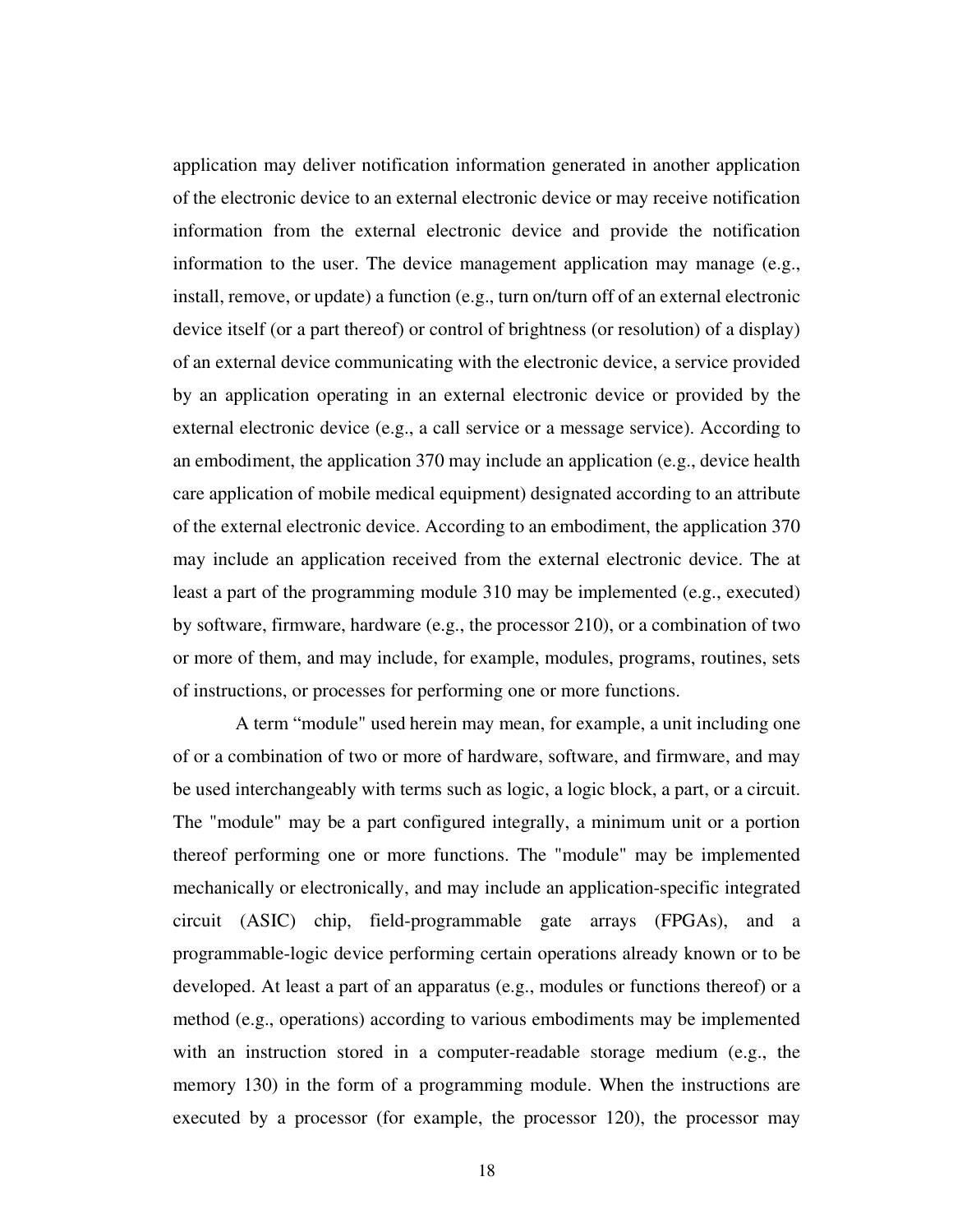application may deliver notification information generated in another application of the electronic device to an external electronic device or may receive notification information from the external electronic device and provide the notification information to the user. The device management application may manage (e.g., install, remove, or update) a function (e.g., turn on/turn off of an external electronic device itself (or a part thereof) or control of brightness (or resolution) of a display) of an external device communicating with the electronic device, a service provided by an application operating in an external electronic device or provided by the external electronic device (e.g., a call service or a message service). According to an embodiment, the application 370 may include an application (e.g., device health care application of mobile medical equipment) designated according to an attribute of the external electronic device. According to an embodiment, the application 370 may include an application received from the external electronic device. The at least a part of the programming module 310 may be implemented (e.g., executed) by software, firmware, hardware (e.g., the processor 210), or a combination of two or more of them, and may include, for example, modules, programs, routines, sets of instructions, or processes for performing one or more functions.

 A term "module" used herein may mean, for example, a unit including one of or a combination of two or more of hardware, software, and firmware, and may be used interchangeably with terms such as logic, a logic block, a part, or a circuit. The "module" may be a part configured integrally, a minimum unit or a portion thereof performing one or more functions. The "module" may be implemented mechanically or electronically, and may include an application-specific integrated circuit (ASIC) chip, field-programmable gate arrays (FPGAs), and a programmable-logic device performing certain operations already known or to be developed. At least a part of an apparatus (e.g., modules or functions thereof) or a method (e.g., operations) according to various embodiments may be implemented with an instruction stored in a computer-readable storage medium (e.g., the memory 130) in the form of a programming module. When the instructions are executed by a processor (for example, the processor 120), the processor may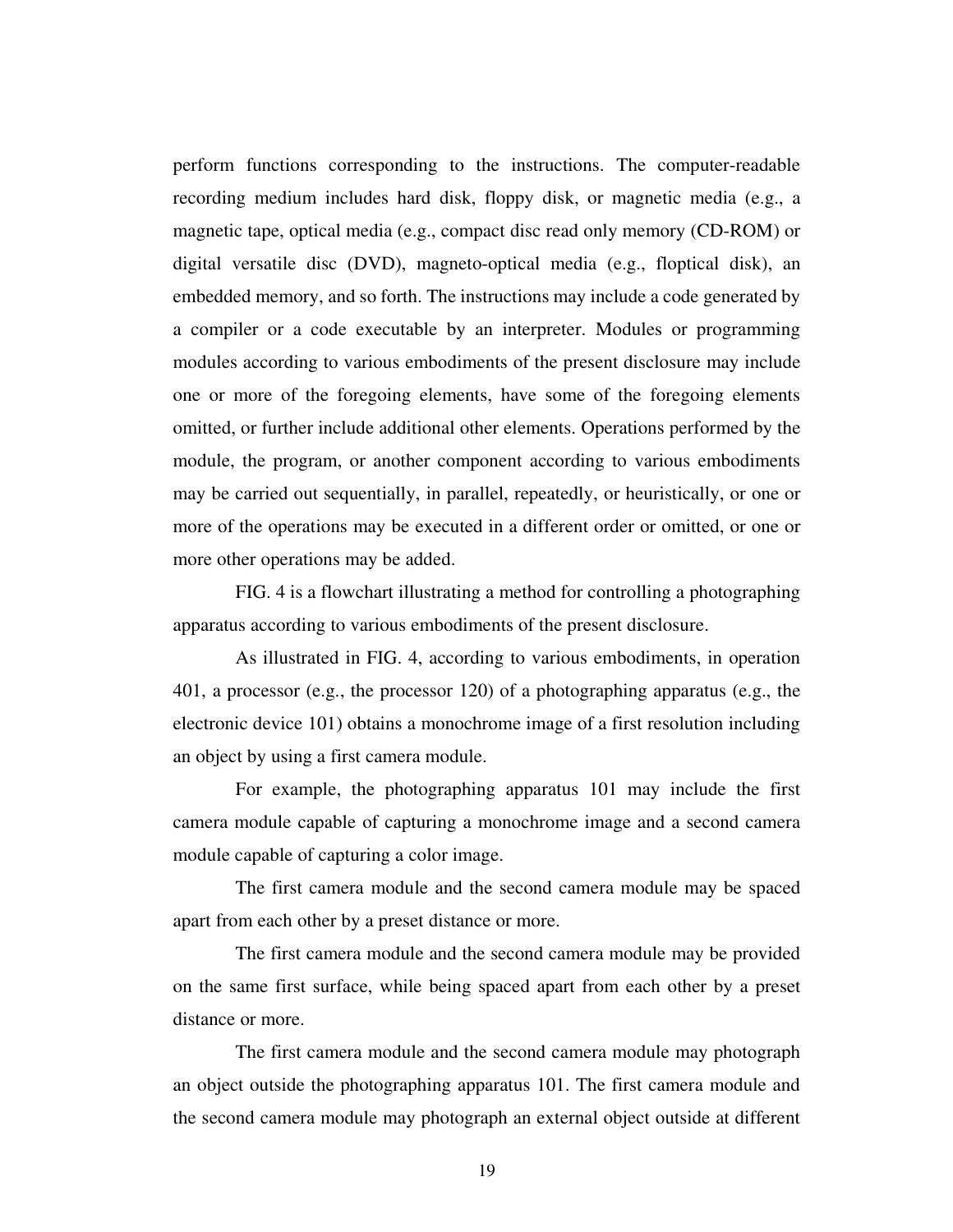perform functions corresponding to the instructions. The computer-readable recording medium includes hard disk, floppy disk, or magnetic media (e.g., a magnetic tape, optical media (e.g., compact disc read only memory (CD-ROM) or digital versatile disc (DVD), magneto-optical media (e.g., floptical disk), an embedded memory, and so forth. The instructions may include a code generated by a compiler or a code executable by an interpreter. Modules or programming modules according to various embodiments of the present disclosure may include one or more of the foregoing elements, have some of the foregoing elements omitted, or further include additional other elements. Operations performed by the module, the program, or another component according to various embodiments may be carried out sequentially, in parallel, repeatedly, or heuristically, or one or more of the operations may be executed in a different order or omitted, or one or more other operations may be added.

 FIG. 4 is a flowchart illustrating a method for controlling a photographing apparatus according to various embodiments of the present disclosure.

 As illustrated in FIG. 4, according to various embodiments, in operation 401, a processor (e.g., the processor 120) of a photographing apparatus (e.g., the electronic device 101) obtains a monochrome image of a first resolution including an object by using a first camera module.

 For example, the photographing apparatus 101 may include the first camera module capable of capturing a monochrome image and a second camera module capable of capturing a color image.

 The first camera module and the second camera module may be spaced apart from each other by a preset distance or more.

 The first camera module and the second camera module may be provided on the same first surface, while being spaced apart from each other by a preset distance or more.

 The first camera module and the second camera module may photograph an object outside the photographing apparatus 101. The first camera module and the second camera module may photograph an external object outside at different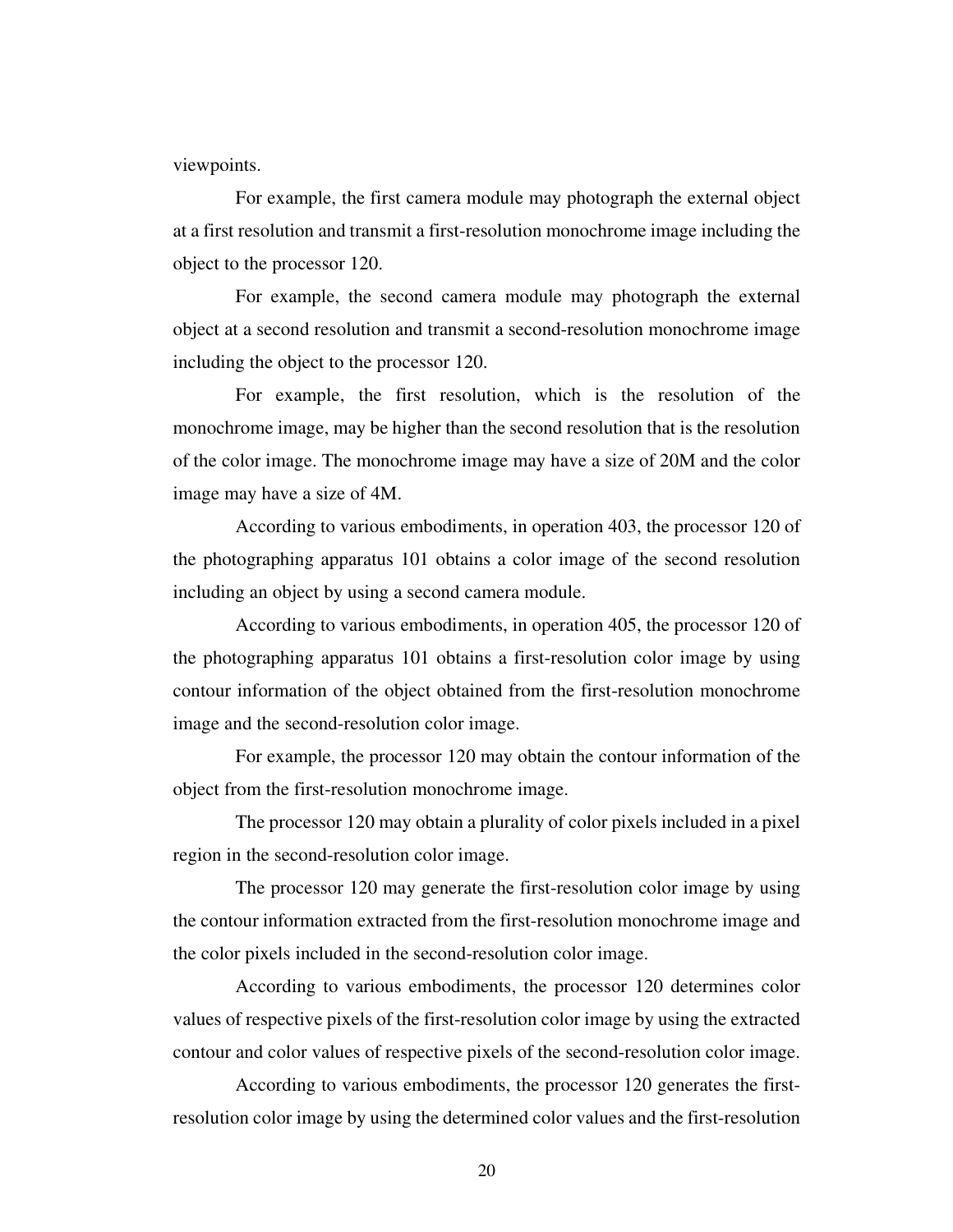viewpoints.

 For example, the first camera module may photograph the external object at a first resolution and transmit a first-resolution monochrome image including the object to the processor 120.

 For example, the second camera module may photograph the external object at a second resolution and transmit a second-resolution monochrome image including the object to the processor 120.

 For example, the first resolution, which is the resolution of the monochrome image, may be higher than the second resolution that is the resolution of the color image. The monochrome image may have a size of 20M and the color image may have a size of 4M.

 According to various embodiments, in operation 403, the processor 120 of the photographing apparatus 101 obtains a color image of the second resolution including an object by using a second camera module.

 According to various embodiments, in operation 405, the processor 120 of the photographing apparatus 101 obtains a first-resolution color image by using contour information of the object obtained from the first-resolution monochrome image and the second-resolution color image.

 For example, the processor 120 may obtain the contour information of the object from the first-resolution monochrome image.

 The processor 120 may obtain a plurality of color pixels included in a pixel region in the second-resolution color image.

 The processor 120 may generate the first-resolution color image by using the contour information extracted from the first-resolution monochrome image and the color pixels included in the second-resolution color image.

 According to various embodiments, the processor 120 determines color values of respective pixels of the first-resolution color image by using the extracted contour and color values of respective pixels of the second-resolution color image.

 According to various embodiments, the processor 120 generates the firstresolution color image by using the determined color values and the first-resolution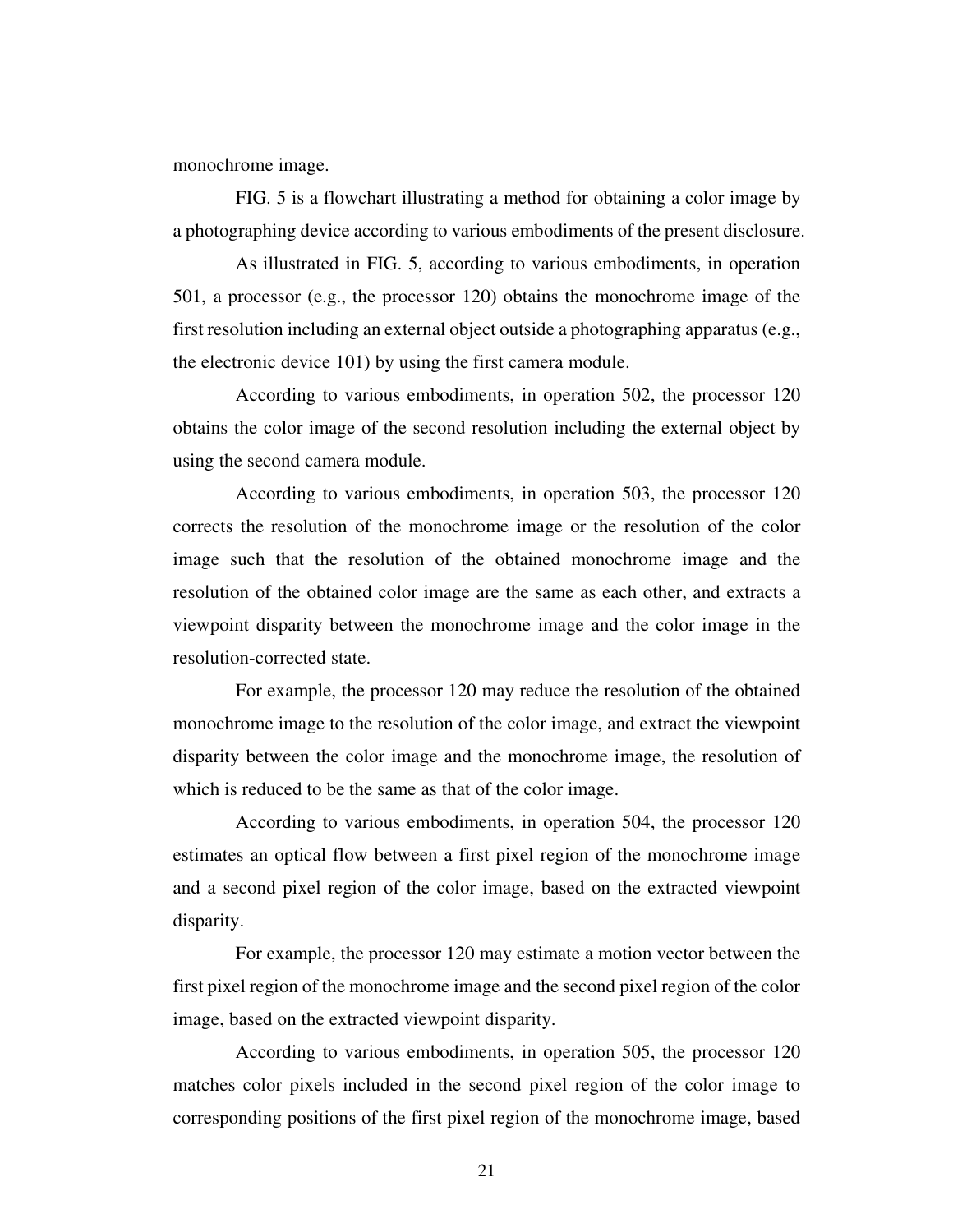monochrome image.

 FIG. 5 is a flowchart illustrating a method for obtaining a color image by a photographing device according to various embodiments of the present disclosure.

 As illustrated in FIG. 5, according to various embodiments, in operation 501, a processor (e.g., the processor 120) obtains the monochrome image of the first resolution including an external object outside a photographing apparatus (e.g., the electronic device 101) by using the first camera module.

 According to various embodiments, in operation 502, the processor 120 obtains the color image of the second resolution including the external object by using the second camera module.

 According to various embodiments, in operation 503, the processor 120 corrects the resolution of the monochrome image or the resolution of the color image such that the resolution of the obtained monochrome image and the resolution of the obtained color image are the same as each other, and extracts a viewpoint disparity between the monochrome image and the color image in the resolution-corrected state.

 For example, the processor 120 may reduce the resolution of the obtained monochrome image to the resolution of the color image, and extract the viewpoint disparity between the color image and the monochrome image, the resolution of which is reduced to be the same as that of the color image.

 According to various embodiments, in operation 504, the processor 120 estimates an optical flow between a first pixel region of the monochrome image and a second pixel region of the color image, based on the extracted viewpoint disparity.

 For example, the processor 120 may estimate a motion vector between the first pixel region of the monochrome image and the second pixel region of the color image, based on the extracted viewpoint disparity.

 According to various embodiments, in operation 505, the processor 120 matches color pixels included in the second pixel region of the color image to corresponding positions of the first pixel region of the monochrome image, based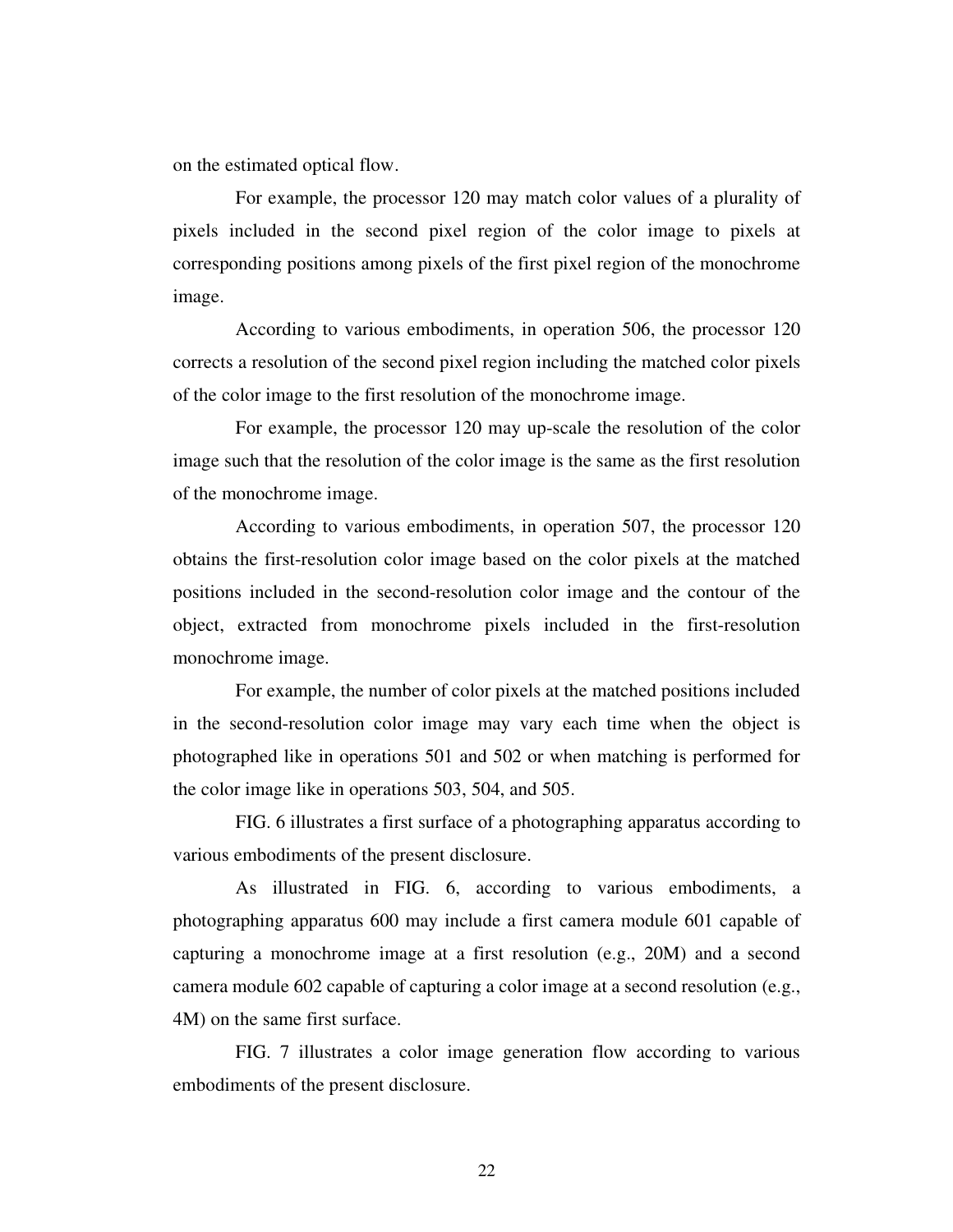on the estimated optical flow.

 For example, the processor 120 may match color values of a plurality of pixels included in the second pixel region of the color image to pixels at corresponding positions among pixels of the first pixel region of the monochrome image.

 According to various embodiments, in operation 506, the processor 120 corrects a resolution of the second pixel region including the matched color pixels of the color image to the first resolution of the monochrome image.

 For example, the processor 120 may up-scale the resolution of the color image such that the resolution of the color image is the same as the first resolution of the monochrome image.

 According to various embodiments, in operation 507, the processor 120 obtains the first-resolution color image based on the color pixels at the matched positions included in the second-resolution color image and the contour of the object, extracted from monochrome pixels included in the first-resolution monochrome image.

 For example, the number of color pixels at the matched positions included in the second-resolution color image may vary each time when the object is photographed like in operations 501 and 502 or when matching is performed for the color image like in operations 503, 504, and 505.

 FIG. 6 illustrates a first surface of a photographing apparatus according to various embodiments of the present disclosure.

 As illustrated in FIG. 6, according to various embodiments, a photographing apparatus 600 may include a first camera module 601 capable of capturing a monochrome image at a first resolution (e.g., 20M) and a second camera module 602 capable of capturing a color image at a second resolution (e.g., 4M) on the same first surface.

 FIG. 7 illustrates a color image generation flow according to various embodiments of the present disclosure.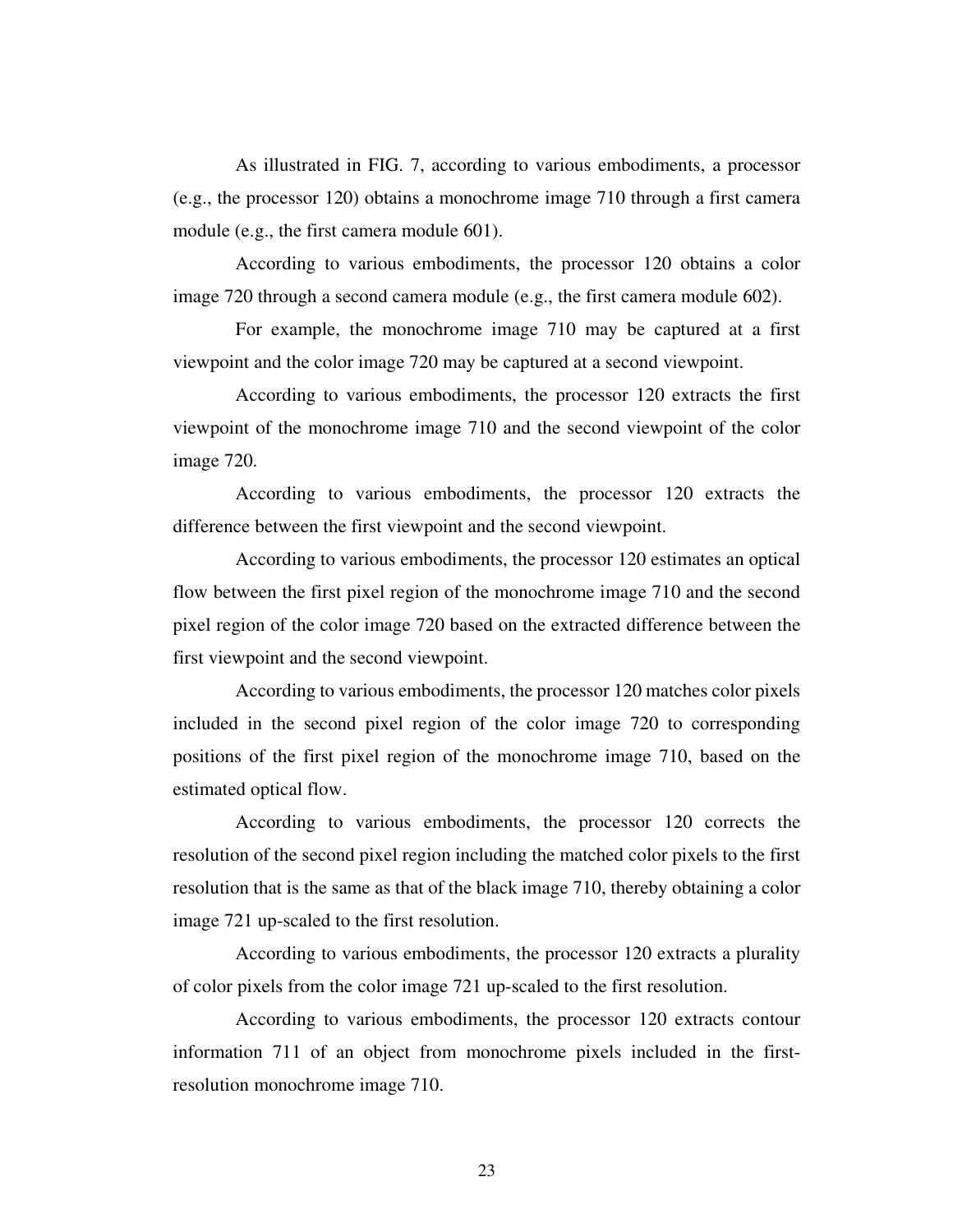As illustrated in FIG. 7, according to various embodiments, a processor (e.g., the processor 120) obtains a monochrome image 710 through a first camera module (e.g., the first camera module 601).

 According to various embodiments, the processor 120 obtains a color image 720 through a second camera module (e.g., the first camera module 602).

 For example, the monochrome image 710 may be captured at a first viewpoint and the color image 720 may be captured at a second viewpoint.

 According to various embodiments, the processor 120 extracts the first viewpoint of the monochrome image 710 and the second viewpoint of the color image 720.

 According to various embodiments, the processor 120 extracts the difference between the first viewpoint and the second viewpoint.

 According to various embodiments, the processor 120 estimates an optical flow between the first pixel region of the monochrome image 710 and the second pixel region of the color image 720 based on the extracted difference between the first viewpoint and the second viewpoint.

 According to various embodiments, the processor 120 matches color pixels included in the second pixel region of the color image 720 to corresponding positions of the first pixel region of the monochrome image 710, based on the estimated optical flow.

 According to various embodiments, the processor 120 corrects the resolution of the second pixel region including the matched color pixels to the first resolution that is the same as that of the black image 710, thereby obtaining a color image 721 up-scaled to the first resolution.

 According to various embodiments, the processor 120 extracts a plurality of color pixels from the color image 721 up-scaled to the first resolution.

 According to various embodiments, the processor 120 extracts contour information 711 of an object from monochrome pixels included in the firstresolution monochrome image 710.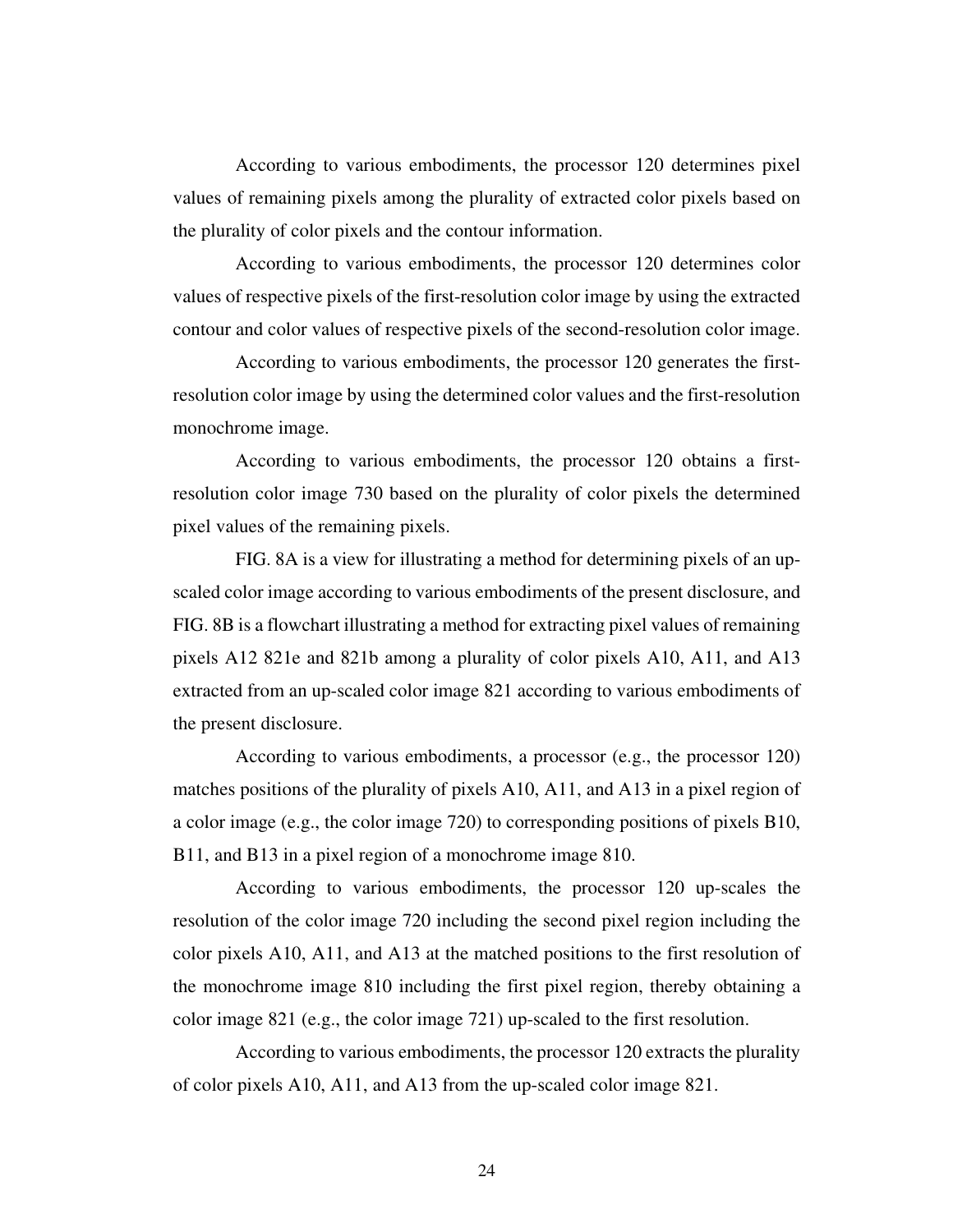According to various embodiments, the processor 120 determines pixel values of remaining pixels among the plurality of extracted color pixels based on the plurality of color pixels and the contour information.

 According to various embodiments, the processor 120 determines color values of respective pixels of the first-resolution color image by using the extracted contour and color values of respective pixels of the second-resolution color image.

 According to various embodiments, the processor 120 generates the firstresolution color image by using the determined color values and the first-resolution monochrome image.

 According to various embodiments, the processor 120 obtains a firstresolution color image 730 based on the plurality of color pixels the determined pixel values of the remaining pixels.

 FIG. 8A is a view for illustrating a method for determining pixels of an upscaled color image according to various embodiments of the present disclosure, and FIG. 8B is a flowchart illustrating a method for extracting pixel values of remaining pixels A12 821e and 821b among a plurality of color pixels A10, A11, and A13 extracted from an up-scaled color image 821 according to various embodiments of the present disclosure.

 According to various embodiments, a processor (e.g., the processor 120) matches positions of the plurality of pixels A10, A11, and A13 in a pixel region of a color image (e.g., the color image 720) to corresponding positions of pixels B10, B11, and B13 in a pixel region of a monochrome image 810.

 According to various embodiments, the processor 120 up-scales the resolution of the color image 720 including the second pixel region including the color pixels A10, A11, and A13 at the matched positions to the first resolution of the monochrome image 810 including the first pixel region, thereby obtaining a color image 821 (e.g., the color image 721) up-scaled to the first resolution.

 According to various embodiments, the processor 120 extracts the plurality of color pixels A10, A11, and A13 from the up-scaled color image 821.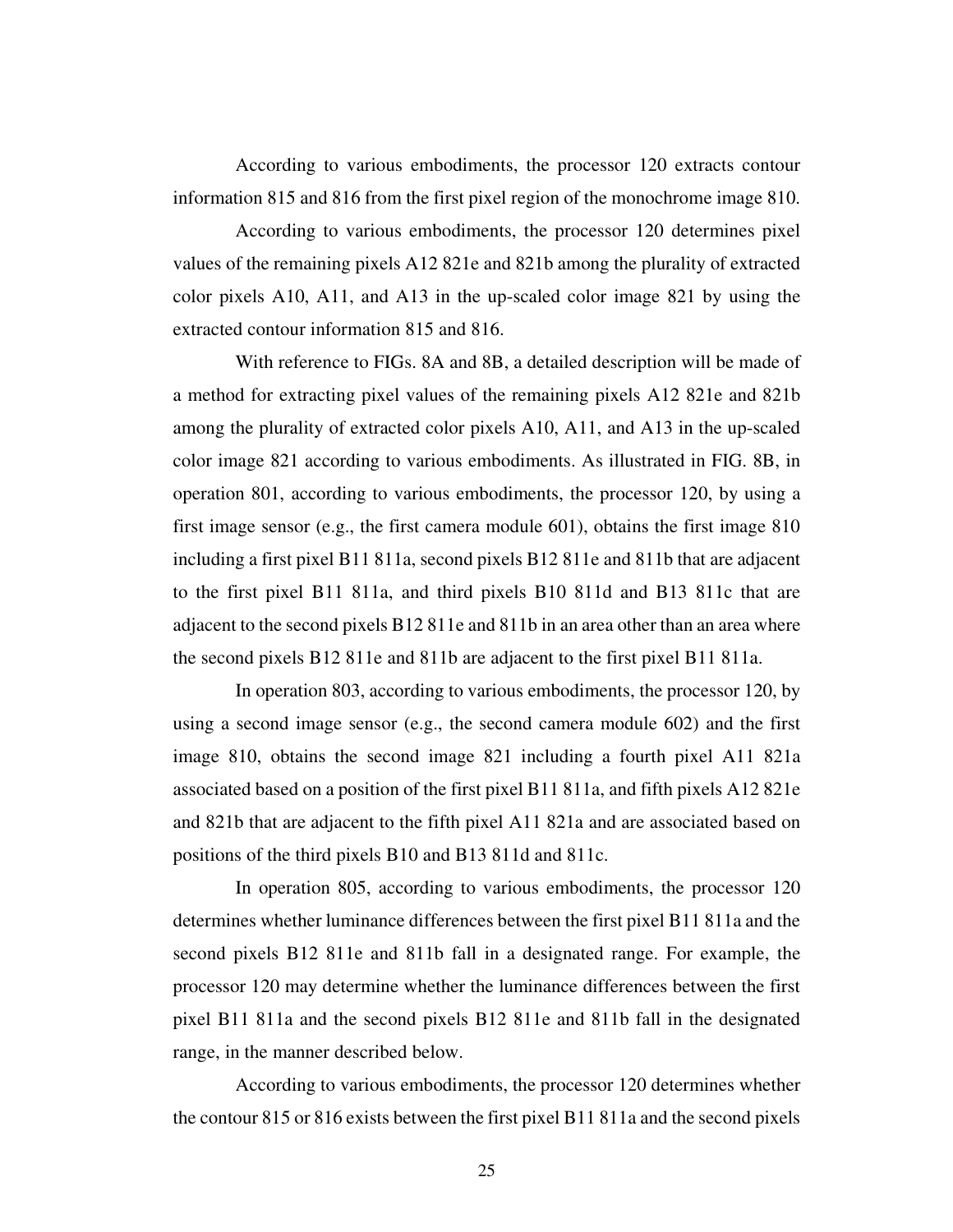According to various embodiments, the processor 120 extracts contour information 815 and 816 from the first pixel region of the monochrome image 810.

 According to various embodiments, the processor 120 determines pixel values of the remaining pixels A12 821e and 821b among the plurality of extracted color pixels A10, A11, and A13 in the up-scaled color image 821 by using the extracted contour information 815 and 816.

 With reference to FIGs. 8A and 8B, a detailed description will be made of a method for extracting pixel values of the remaining pixels A12 821e and 821b among the plurality of extracted color pixels A10, A11, and A13 in the up-scaled color image 821 according to various embodiments. As illustrated in FIG. 8B, in operation 801, according to various embodiments, the processor 120, by using a first image sensor (e.g., the first camera module 601), obtains the first image 810 including a first pixel B11 811a, second pixels B12 811e and 811b that are adjacent to the first pixel B11 811a, and third pixels B10 811d and B13 811c that are adjacent to the second pixels B12 811e and 811b in an area other than an area where the second pixels B12 811e and 811b are adjacent to the first pixel B11 811a.

 In operation 803, according to various embodiments, the processor 120, by using a second image sensor (e.g., the second camera module 602) and the first image 810, obtains the second image 821 including a fourth pixel A11 821a associated based on a position of the first pixel B11 811a, and fifth pixels A12 821e and 821b that are adjacent to the fifth pixel A11 821a and are associated based on positions of the third pixels B10 and B13 811d and 811c.

 In operation 805, according to various embodiments, the processor 120 determines whether luminance differences between the first pixel B11 811a and the second pixels B12 811e and 811b fall in a designated range. For example, the processor 120 may determine whether the luminance differences between the first pixel B11 811a and the second pixels B12 811e and 811b fall in the designated range, in the manner described below.

 According to various embodiments, the processor 120 determines whether the contour 815 or 816 exists between the first pixel B11 811a and the second pixels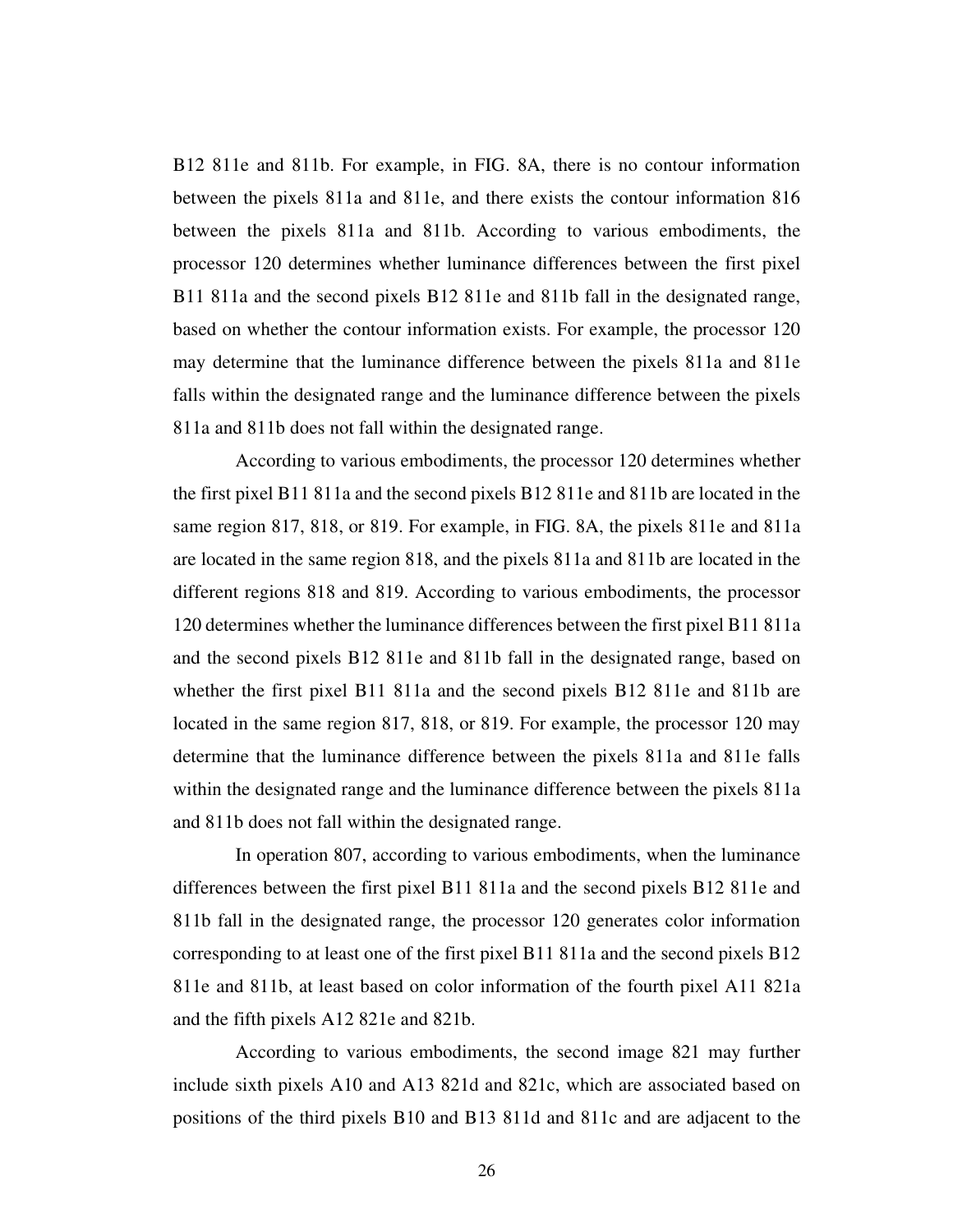B12 811e and 811b. For example, in FIG. 8A, there is no contour information between the pixels 811a and 811e, and there exists the contour information 816 between the pixels 811a and 811b. According to various embodiments, the processor 120 determines whether luminance differences between the first pixel B11 811a and the second pixels B12 811e and 811b fall in the designated range, based on whether the contour information exists. For example, the processor 120 may determine that the luminance difference between the pixels 811a and 811e falls within the designated range and the luminance difference between the pixels 811a and 811b does not fall within the designated range.

 According to various embodiments, the processor 120 determines whether the first pixel B11 811a and the second pixels B12 811e and 811b are located in the same region 817, 818, or 819. For example, in FIG. 8A, the pixels 811e and 811a are located in the same region 818, and the pixels 811a and 811b are located in the different regions 818 and 819. According to various embodiments, the processor 120 determines whether the luminance differences between the first pixel B11 811a and the second pixels B12 811e and 811b fall in the designated range, based on whether the first pixel B11 811a and the second pixels B12 811e and 811b are located in the same region 817, 818, or 819. For example, the processor 120 may determine that the luminance difference between the pixels 811a and 811e falls within the designated range and the luminance difference between the pixels 811a and 811b does not fall within the designated range.

 In operation 807, according to various embodiments, when the luminance differences between the first pixel B11 811a and the second pixels B12 811e and 811b fall in the designated range, the processor 120 generates color information corresponding to at least one of the first pixel B11 811a and the second pixels B12 811e and 811b, at least based on color information of the fourth pixel A11 821a and the fifth pixels A12 821e and 821b.

 According to various embodiments, the second image 821 may further include sixth pixels A10 and A13 821d and 821c, which are associated based on positions of the third pixels B10 and B13 811d and 811c and are adjacent to the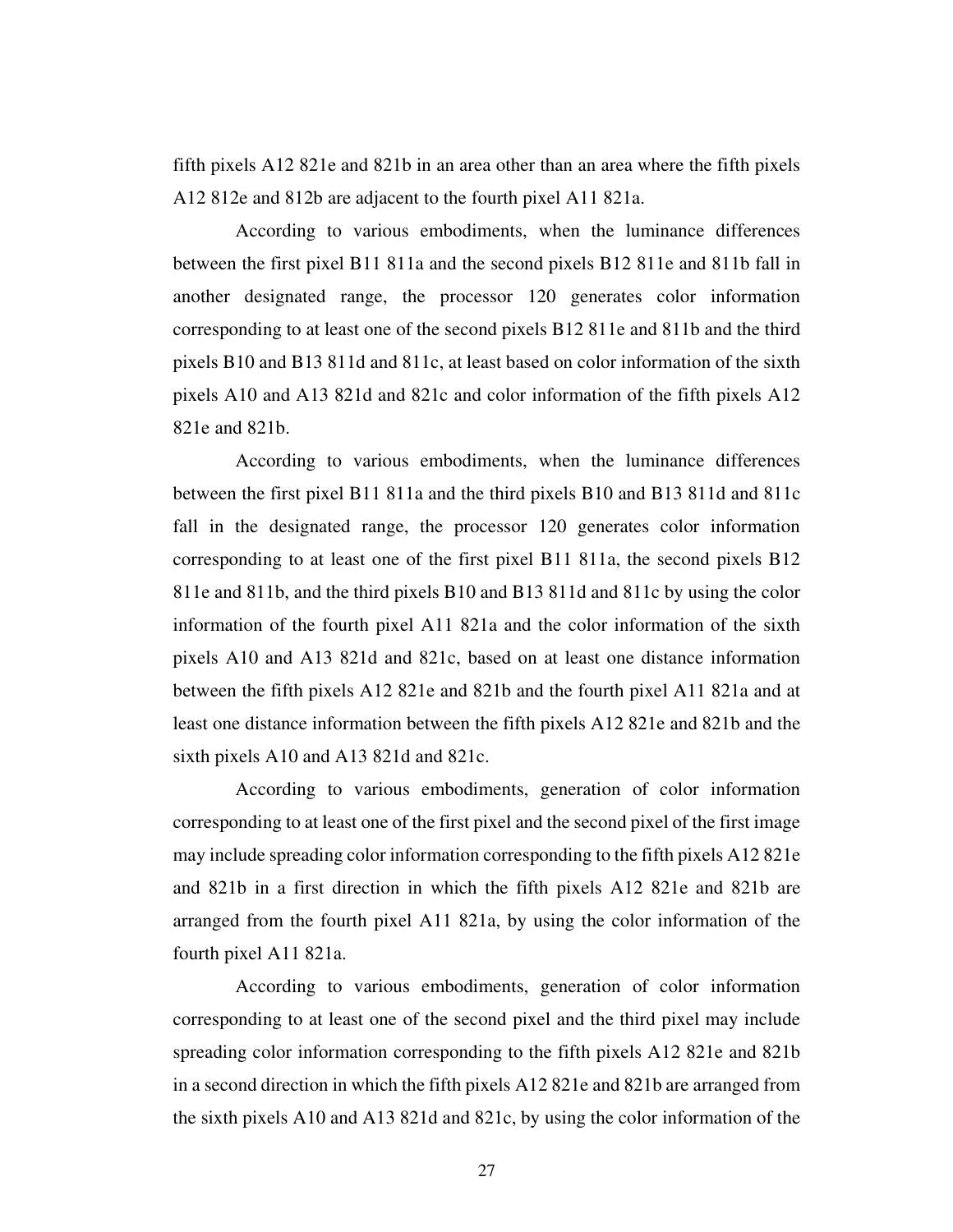fifth pixels A12 821e and 821b in an area other than an area where the fifth pixels A12 812e and 812b are adjacent to the fourth pixel A11 821a.

 According to various embodiments, when the luminance differences between the first pixel B11 811a and the second pixels B12 811e and 811b fall in another designated range, the processor 120 generates color information corresponding to at least one of the second pixels B12 811e and 811b and the third pixels B10 and B13 811d and 811c, at least based on color information of the sixth pixels A10 and A13 821d and 821c and color information of the fifth pixels A12 821e and 821b.

 According to various embodiments, when the luminance differences between the first pixel B11 811a and the third pixels B10 and B13 811d and 811c fall in the designated range, the processor 120 generates color information corresponding to at least one of the first pixel B11 811a, the second pixels B12 811e and 811b, and the third pixels B10 and B13 811d and 811c by using the color information of the fourth pixel A11 821a and the color information of the sixth pixels A10 and A13 821d and 821c, based on at least one distance information between the fifth pixels A12 821e and 821b and the fourth pixel A11 821a and at least one distance information between the fifth pixels A12 821e and 821b and the sixth pixels A10 and A13 821d and 821c.

 According to various embodiments, generation of color information corresponding to at least one of the first pixel and the second pixel of the first image may include spreading color information corresponding to the fifth pixels A12 821e and 821b in a first direction in which the fifth pixels A12 821e and 821b are arranged from the fourth pixel A11 821a, by using the color information of the fourth pixel A11 821a.

 According to various embodiments, generation of color information corresponding to at least one of the second pixel and the third pixel may include spreading color information corresponding to the fifth pixels A12 821e and 821b in a second direction in which the fifth pixels A12 821e and 821b are arranged from the sixth pixels A10 and A13 821d and 821c, by using the color information of the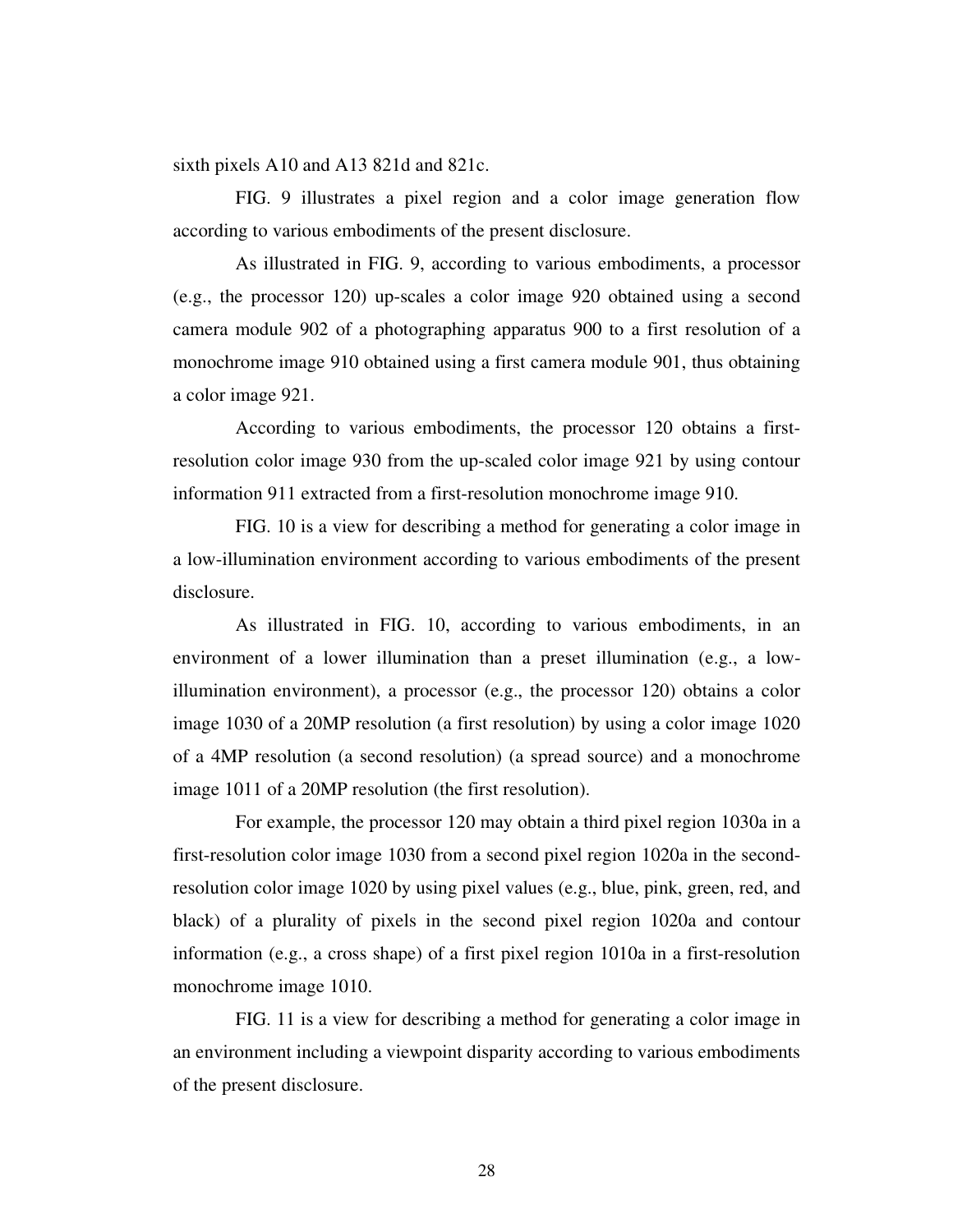sixth pixels A10 and A13 821d and 821c.

 FIG. 9 illustrates a pixel region and a color image generation flow according to various embodiments of the present disclosure.

 As illustrated in FIG. 9, according to various embodiments, a processor (e.g., the processor 120) up-scales a color image 920 obtained using a second camera module 902 of a photographing apparatus 900 to a first resolution of a monochrome image 910 obtained using a first camera module 901, thus obtaining a color image 921.

 According to various embodiments, the processor 120 obtains a firstresolution color image 930 from the up-scaled color image 921 by using contour information 911 extracted from a first-resolution monochrome image 910.

 FIG. 10 is a view for describing a method for generating a color image in a low-illumination environment according to various embodiments of the present disclosure.

 As illustrated in FIG. 10, according to various embodiments, in an environment of a lower illumination than a preset illumination (e.g., a lowillumination environment), a processor (e.g., the processor 120) obtains a color image 1030 of a 20MP resolution (a first resolution) by using a color image 1020 of a 4MP resolution (a second resolution) (a spread source) and a monochrome image 1011 of a 20MP resolution (the first resolution).

 For example, the processor 120 may obtain a third pixel region 1030a in a first-resolution color image 1030 from a second pixel region 1020a in the secondresolution color image 1020 by using pixel values (e.g., blue, pink, green, red, and black) of a plurality of pixels in the second pixel region 1020a and contour information (e.g., a cross shape) of a first pixel region 1010a in a first-resolution monochrome image 1010.

 FIG. 11 is a view for describing a method for generating a color image in an environment including a viewpoint disparity according to various embodiments of the present disclosure.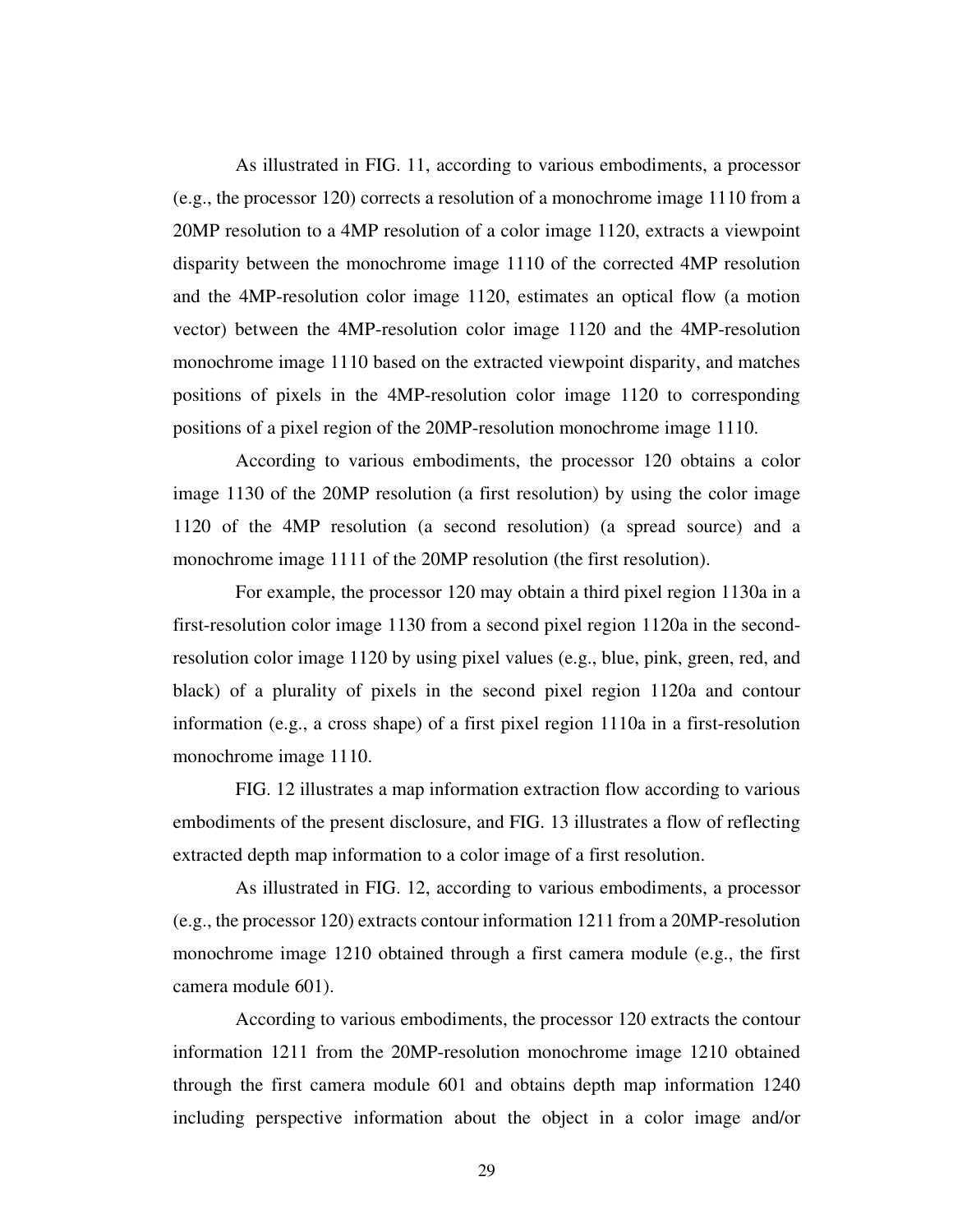As illustrated in FIG. 11, according to various embodiments, a processor (e.g., the processor 120) corrects a resolution of a monochrome image 1110 from a 20MP resolution to a 4MP resolution of a color image 1120, extracts a viewpoint disparity between the monochrome image 1110 of the corrected 4MP resolution and the 4MP-resolution color image 1120, estimates an optical flow (a motion vector) between the 4MP-resolution color image 1120 and the 4MP-resolution monochrome image 1110 based on the extracted viewpoint disparity, and matches positions of pixels in the 4MP-resolution color image 1120 to corresponding positions of a pixel region of the 20MP-resolution monochrome image 1110.

 According to various embodiments, the processor 120 obtains a color image 1130 of the 20MP resolution (a first resolution) by using the color image 1120 of the 4MP resolution (a second resolution) (a spread source) and a monochrome image 1111 of the 20MP resolution (the first resolution).

 For example, the processor 120 may obtain a third pixel region 1130a in a first-resolution color image 1130 from a second pixel region 1120a in the secondresolution color image 1120 by using pixel values (e.g., blue, pink, green, red, and black) of a plurality of pixels in the second pixel region 1120a and contour information (e.g., a cross shape) of a first pixel region 1110a in a first-resolution monochrome image 1110.

 FIG. 12 illustrates a map information extraction flow according to various embodiments of the present disclosure, and FIG. 13 illustrates a flow of reflecting extracted depth map information to a color image of a first resolution.

 As illustrated in FIG. 12, according to various embodiments, a processor (e.g., the processor 120) extracts contour information 1211 from a 20MP-resolution monochrome image 1210 obtained through a first camera module (e.g., the first camera module 601).

 According to various embodiments, the processor 120 extracts the contour information 1211 from the 20MP-resolution monochrome image 1210 obtained through the first camera module 601 and obtains depth map information 1240 including perspective information about the object in a color image and/or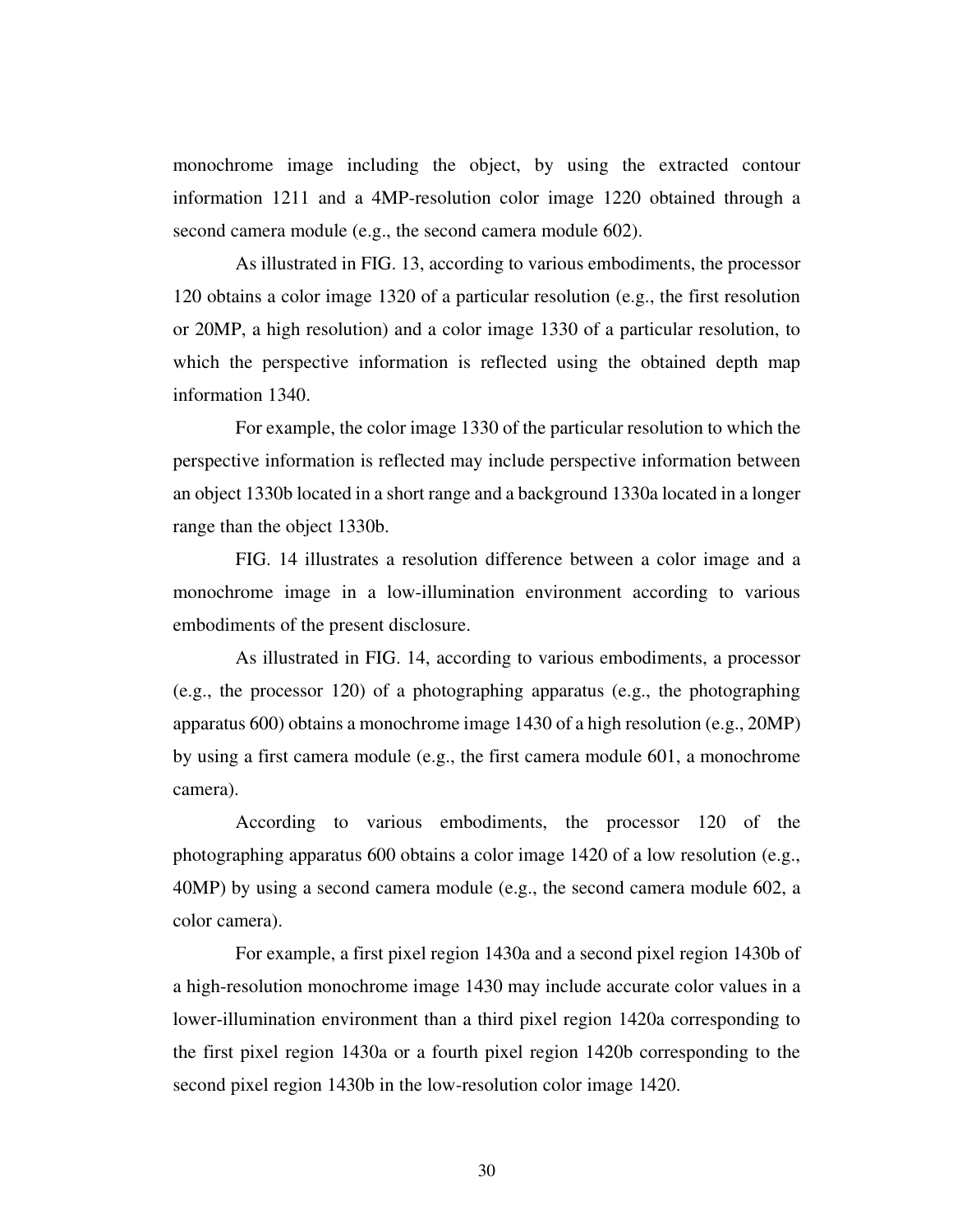monochrome image including the object, by using the extracted contour information 1211 and a 4MP-resolution color image 1220 obtained through a second camera module (e.g., the second camera module 602).

 As illustrated in FIG. 13, according to various embodiments, the processor 120 obtains a color image 1320 of a particular resolution (e.g., the first resolution or 20MP, a high resolution) and a color image 1330 of a particular resolution, to which the perspective information is reflected using the obtained depth map information 1340.

 For example, the color image 1330 of the particular resolution to which the perspective information is reflected may include perspective information between an object 1330b located in a short range and a background 1330a located in a longer range than the object 1330b.

 FIG. 14 illustrates a resolution difference between a color image and a monochrome image in a low-illumination environment according to various embodiments of the present disclosure.

 As illustrated in FIG. 14, according to various embodiments, a processor (e.g., the processor 120) of a photographing apparatus (e.g., the photographing apparatus 600) obtains a monochrome image 1430 of a high resolution (e.g., 20MP) by using a first camera module (e.g., the first camera module 601, a monochrome camera).

 According to various embodiments, the processor 120 of the photographing apparatus 600 obtains a color image 1420 of a low resolution (e.g., 40MP) by using a second camera module (e.g., the second camera module 602, a color camera).

 For example, a first pixel region 1430a and a second pixel region 1430b of a high-resolution monochrome image 1430 may include accurate color values in a lower-illumination environment than a third pixel region 1420a corresponding to the first pixel region 1430a or a fourth pixel region 1420b corresponding to the second pixel region 1430b in the low-resolution color image 1420.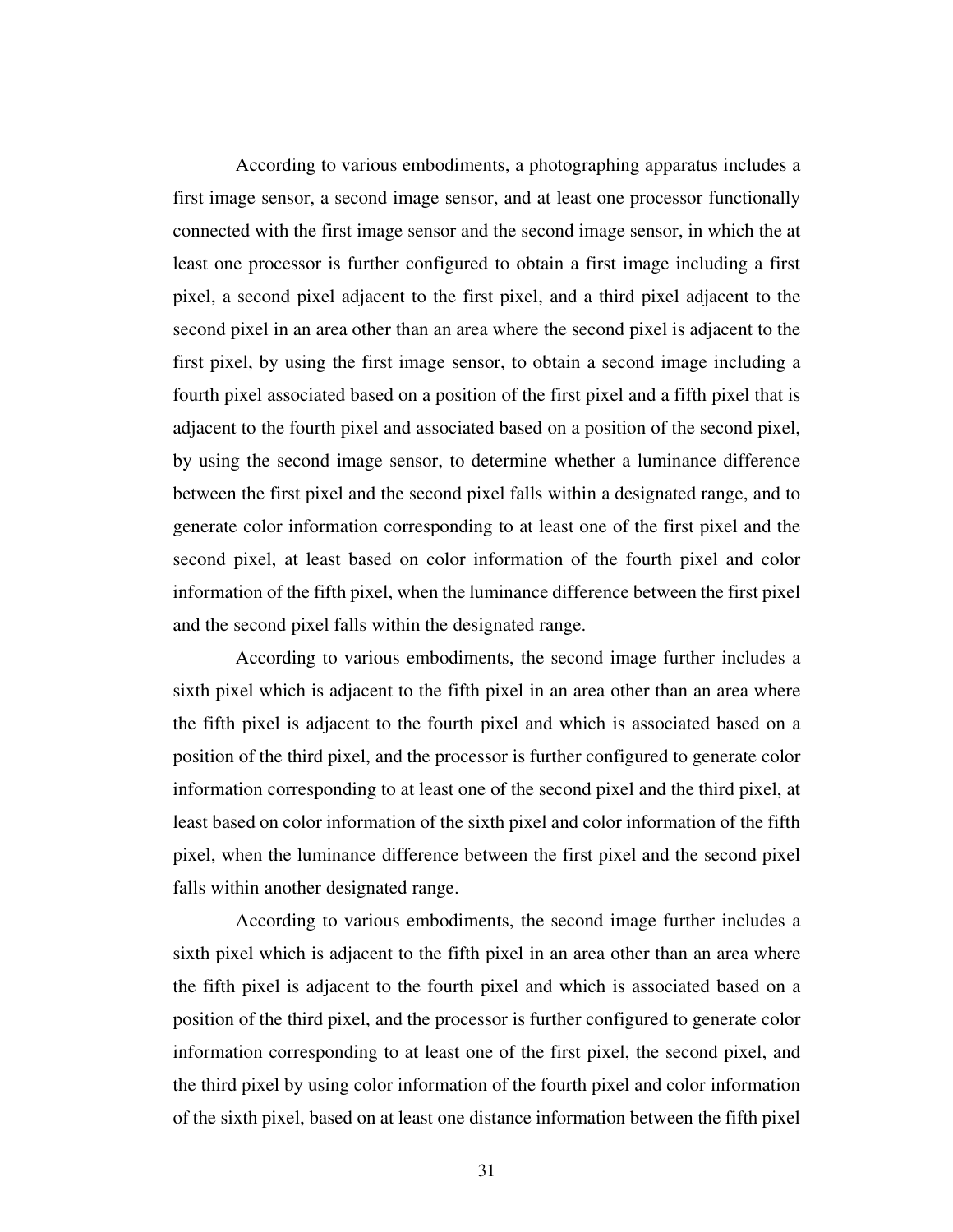According to various embodiments, a photographing apparatus includes a first image sensor, a second image sensor, and at least one processor functionally connected with the first image sensor and the second image sensor, in which the at least one processor is further configured to obtain a first image including a first pixel, a second pixel adjacent to the first pixel, and a third pixel adjacent to the second pixel in an area other than an area where the second pixel is adjacent to the first pixel, by using the first image sensor, to obtain a second image including a fourth pixel associated based on a position of the first pixel and a fifth pixel that is adjacent to the fourth pixel and associated based on a position of the second pixel, by using the second image sensor, to determine whether a luminance difference between the first pixel and the second pixel falls within a designated range, and to generate color information corresponding to at least one of the first pixel and the second pixel, at least based on color information of the fourth pixel and color information of the fifth pixel, when the luminance difference between the first pixel and the second pixel falls within the designated range.

 According to various embodiments, the second image further includes a sixth pixel which is adjacent to the fifth pixel in an area other than an area where the fifth pixel is adjacent to the fourth pixel and which is associated based on a position of the third pixel, and the processor is further configured to generate color information corresponding to at least one of the second pixel and the third pixel, at least based on color information of the sixth pixel and color information of the fifth pixel, when the luminance difference between the first pixel and the second pixel falls within another designated range.

 According to various embodiments, the second image further includes a sixth pixel which is adjacent to the fifth pixel in an area other than an area where the fifth pixel is adjacent to the fourth pixel and which is associated based on a position of the third pixel, and the processor is further configured to generate color information corresponding to at least one of the first pixel, the second pixel, and the third pixel by using color information of the fourth pixel and color information of the sixth pixel, based on at least one distance information between the fifth pixel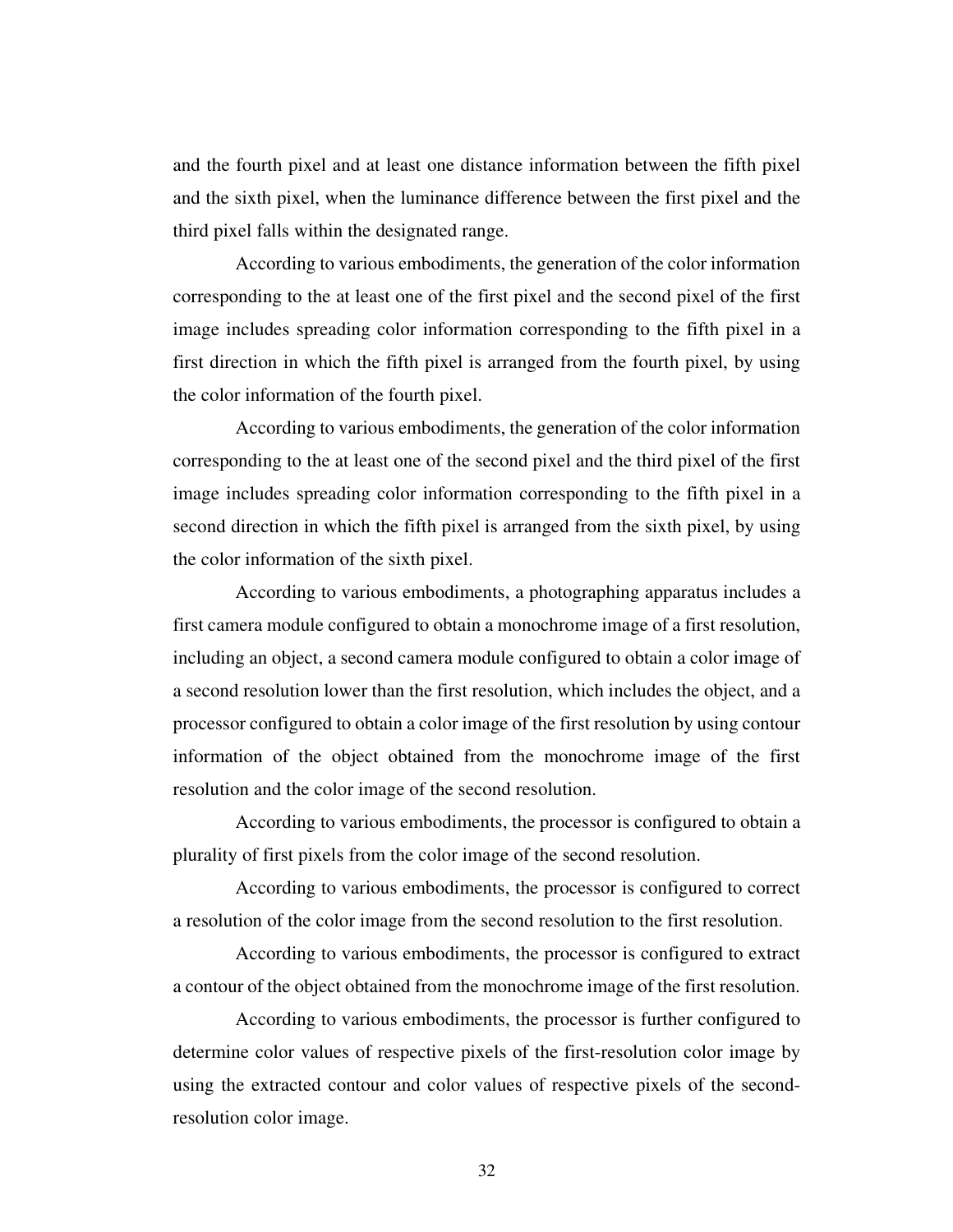and the fourth pixel and at least one distance information between the fifth pixel and the sixth pixel, when the luminance difference between the first pixel and the third pixel falls within the designated range.

 According to various embodiments, the generation of the color information corresponding to the at least one of the first pixel and the second pixel of the first image includes spreading color information corresponding to the fifth pixel in a first direction in which the fifth pixel is arranged from the fourth pixel, by using the color information of the fourth pixel.

 According to various embodiments, the generation of the color information corresponding to the at least one of the second pixel and the third pixel of the first image includes spreading color information corresponding to the fifth pixel in a second direction in which the fifth pixel is arranged from the sixth pixel, by using the color information of the sixth pixel.

 According to various embodiments, a photographing apparatus includes a first camera module configured to obtain a monochrome image of a first resolution, including an object, a second camera module configured to obtain a color image of a second resolution lower than the first resolution, which includes the object, and a processor configured to obtain a color image of the first resolution by using contour information of the object obtained from the monochrome image of the first resolution and the color image of the second resolution.

 According to various embodiments, the processor is configured to obtain a plurality of first pixels from the color image of the second resolution.

 According to various embodiments, the processor is configured to correct a resolution of the color image from the second resolution to the first resolution.

 According to various embodiments, the processor is configured to extract a contour of the object obtained from the monochrome image of the first resolution.

 According to various embodiments, the processor is further configured to determine color values of respective pixels of the first-resolution color image by using the extracted contour and color values of respective pixels of the secondresolution color image.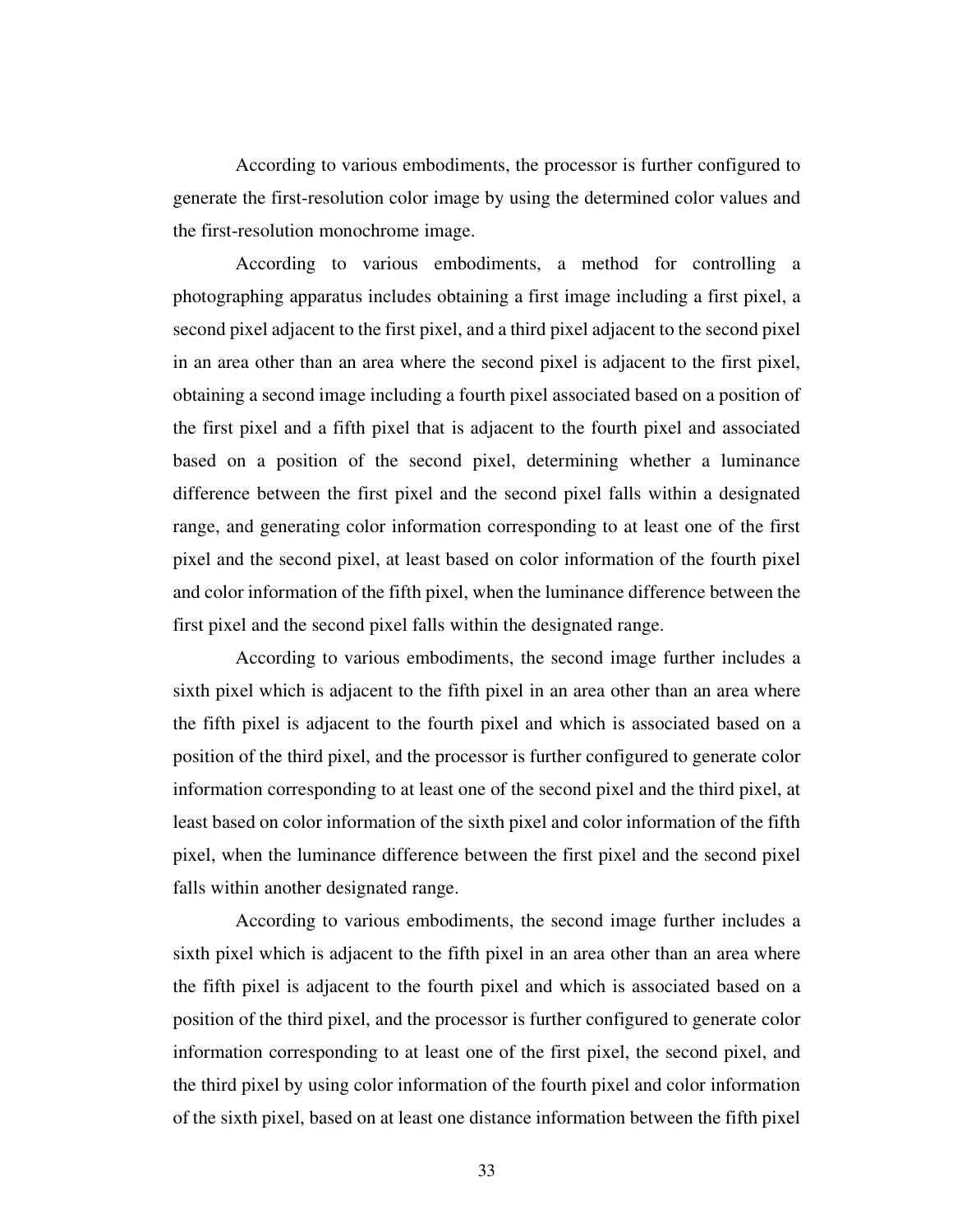According to various embodiments, the processor is further configured to generate the first-resolution color image by using the determined color values and the first-resolution monochrome image.

 According to various embodiments, a method for controlling a photographing apparatus includes obtaining a first image including a first pixel, a second pixel adjacent to the first pixel, and a third pixel adjacent to the second pixel in an area other than an area where the second pixel is adjacent to the first pixel, obtaining a second image including a fourth pixel associated based on a position of the first pixel and a fifth pixel that is adjacent to the fourth pixel and associated based on a position of the second pixel, determining whether a luminance difference between the first pixel and the second pixel falls within a designated range, and generating color information corresponding to at least one of the first pixel and the second pixel, at least based on color information of the fourth pixel and color information of the fifth pixel, when the luminance difference between the first pixel and the second pixel falls within the designated range.

 According to various embodiments, the second image further includes a sixth pixel which is adjacent to the fifth pixel in an area other than an area where the fifth pixel is adjacent to the fourth pixel and which is associated based on a position of the third pixel, and the processor is further configured to generate color information corresponding to at least one of the second pixel and the third pixel, at least based on color information of the sixth pixel and color information of the fifth pixel, when the luminance difference between the first pixel and the second pixel falls within another designated range.

 According to various embodiments, the second image further includes a sixth pixel which is adjacent to the fifth pixel in an area other than an area where the fifth pixel is adjacent to the fourth pixel and which is associated based on a position of the third pixel, and the processor is further configured to generate color information corresponding to at least one of the first pixel, the second pixel, and the third pixel by using color information of the fourth pixel and color information of the sixth pixel, based on at least one distance information between the fifth pixel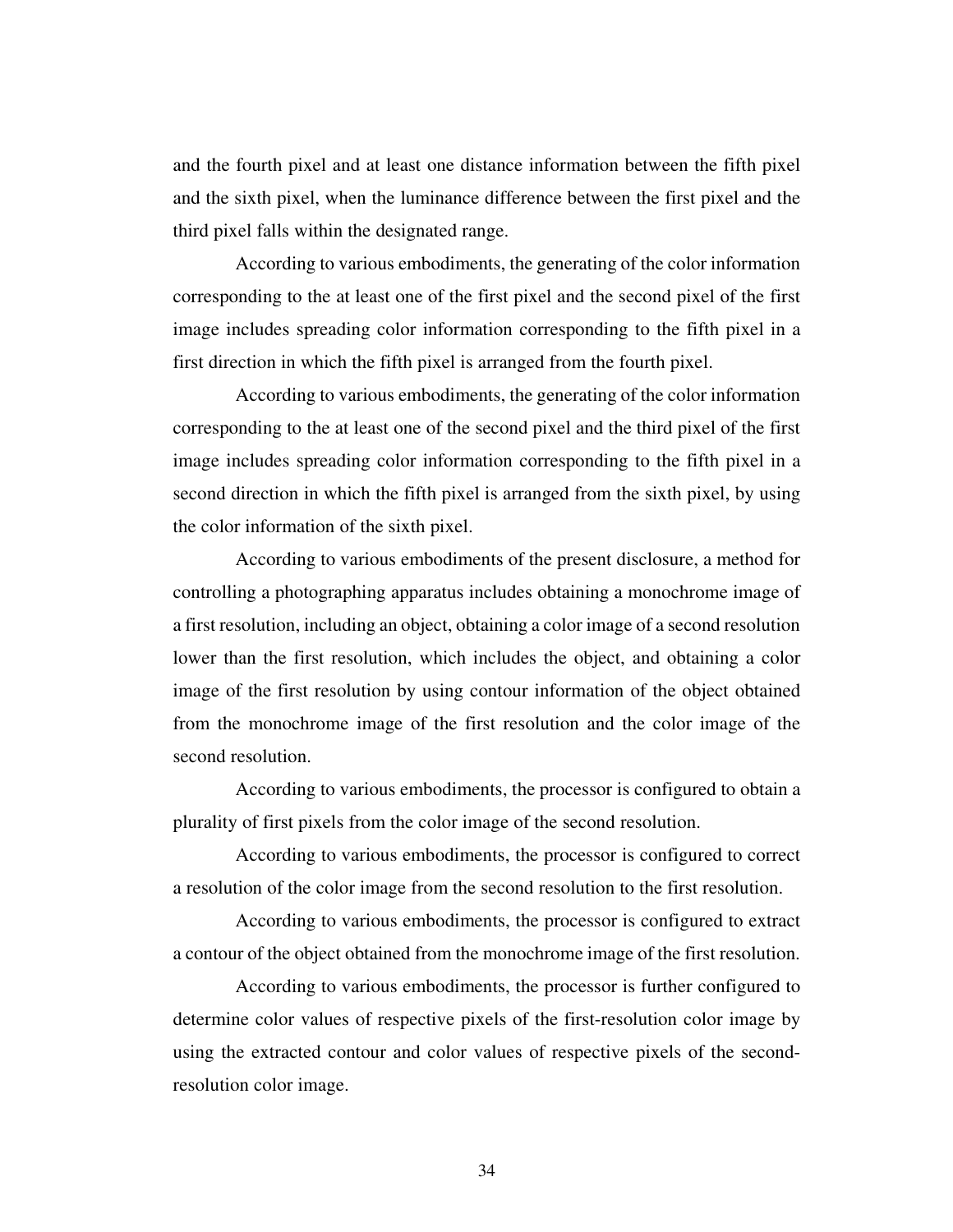and the fourth pixel and at least one distance information between the fifth pixel and the sixth pixel, when the luminance difference between the first pixel and the third pixel falls within the designated range.

 According to various embodiments, the generating of the color information corresponding to the at least one of the first pixel and the second pixel of the first image includes spreading color information corresponding to the fifth pixel in a first direction in which the fifth pixel is arranged from the fourth pixel.

 According to various embodiments, the generating of the color information corresponding to the at least one of the second pixel and the third pixel of the first image includes spreading color information corresponding to the fifth pixel in a second direction in which the fifth pixel is arranged from the sixth pixel, by using the color information of the sixth pixel.

 According to various embodiments of the present disclosure, a method for controlling a photographing apparatus includes obtaining a monochrome image of a first resolution, including an object, obtaining a color image of a second resolution lower than the first resolution, which includes the object, and obtaining a color image of the first resolution by using contour information of the object obtained from the monochrome image of the first resolution and the color image of the second resolution.

 According to various embodiments, the processor is configured to obtain a plurality of first pixels from the color image of the second resolution.

 According to various embodiments, the processor is configured to correct a resolution of the color image from the second resolution to the first resolution.

 According to various embodiments, the processor is configured to extract a contour of the object obtained from the monochrome image of the first resolution.

 According to various embodiments, the processor is further configured to determine color values of respective pixels of the first-resolution color image by using the extracted contour and color values of respective pixels of the secondresolution color image.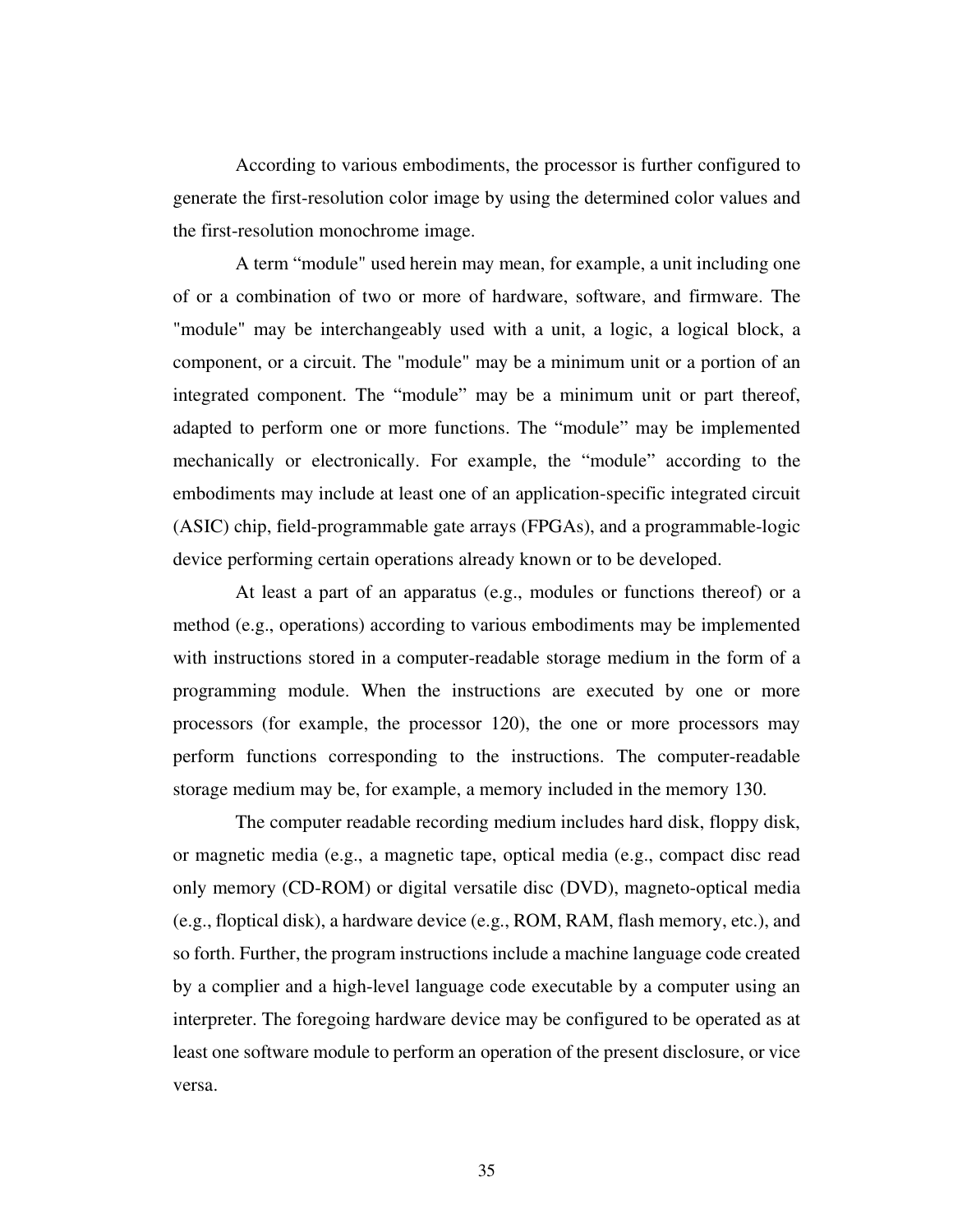According to various embodiments, the processor is further configured to generate the first-resolution color image by using the determined color values and the first-resolution monochrome image.

 A term "module" used herein may mean, for example, a unit including one of or a combination of two or more of hardware, software, and firmware. The "module" may be interchangeably used with a unit, a logic, a logical block, a component, or a circuit. The "module" may be a minimum unit or a portion of an integrated component. The "module" may be a minimum unit or part thereof, adapted to perform one or more functions. The "module" may be implemented mechanically or electronically. For example, the "module" according to the embodiments may include at least one of an application-specific integrated circuit (ASIC) chip, field-programmable gate arrays (FPGAs), and a programmable-logic device performing certain operations already known or to be developed.

 At least a part of an apparatus (e.g., modules or functions thereof) or a method (e.g., operations) according to various embodiments may be implemented with instructions stored in a computer-readable storage medium in the form of a programming module. When the instructions are executed by one or more processors (for example, the processor 120), the one or more processors may perform functions corresponding to the instructions. The computer-readable storage medium may be, for example, a memory included in the memory 130.

 The computer readable recording medium includes hard disk, floppy disk, or magnetic media (e.g., a magnetic tape, optical media (e.g., compact disc read only memory (CD-ROM) or digital versatile disc (DVD), magneto-optical media (e.g., floptical disk), a hardware device (e.g., ROM, RAM, flash memory, etc.), and so forth. Further, the program instructions include a machine language code created by a complier and a high-level language code executable by a computer using an interpreter. The foregoing hardware device may be configured to be operated as at least one software module to perform an operation of the present disclosure, or vice versa.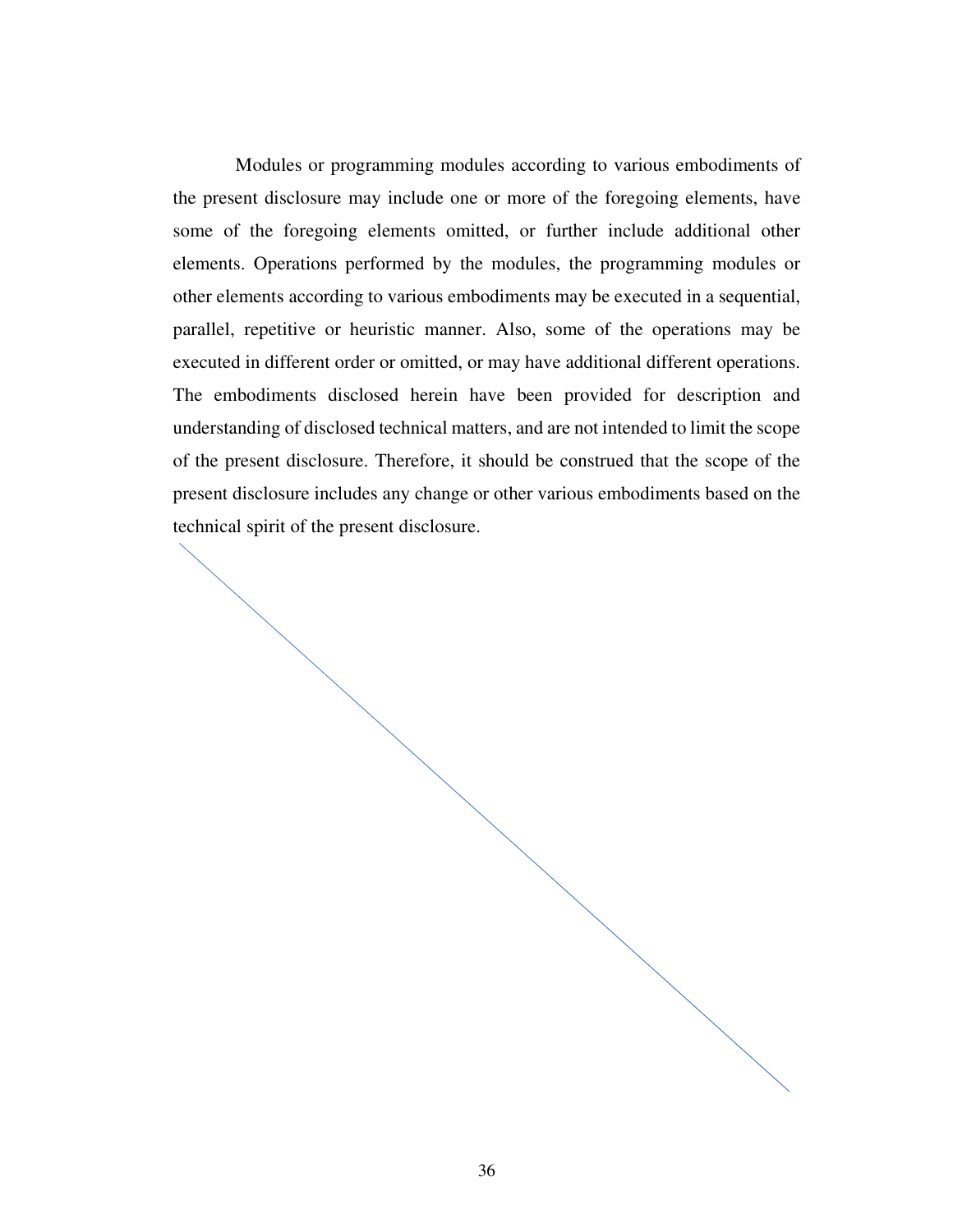Modules or programming modules according to various embodiments of the present disclosure may include one or more of the foregoing elements, have some of the foregoing elements omitted, or further include additional other elements. Operations performed by the modules, the programming modules or other elements according to various embodiments may be executed in a sequential, parallel, repetitive or heuristic manner. Also, some of the operations may be executed in different order or omitted, or may have additional different operations. The embodiments disclosed herein have been provided for description and understanding of disclosed technical matters, and are not intended to limit the scope of the present disclosure. Therefore, it should be construed that the scope of the present disclosure includes any change or other various embodiments based on the technical spirit of the present disclosure.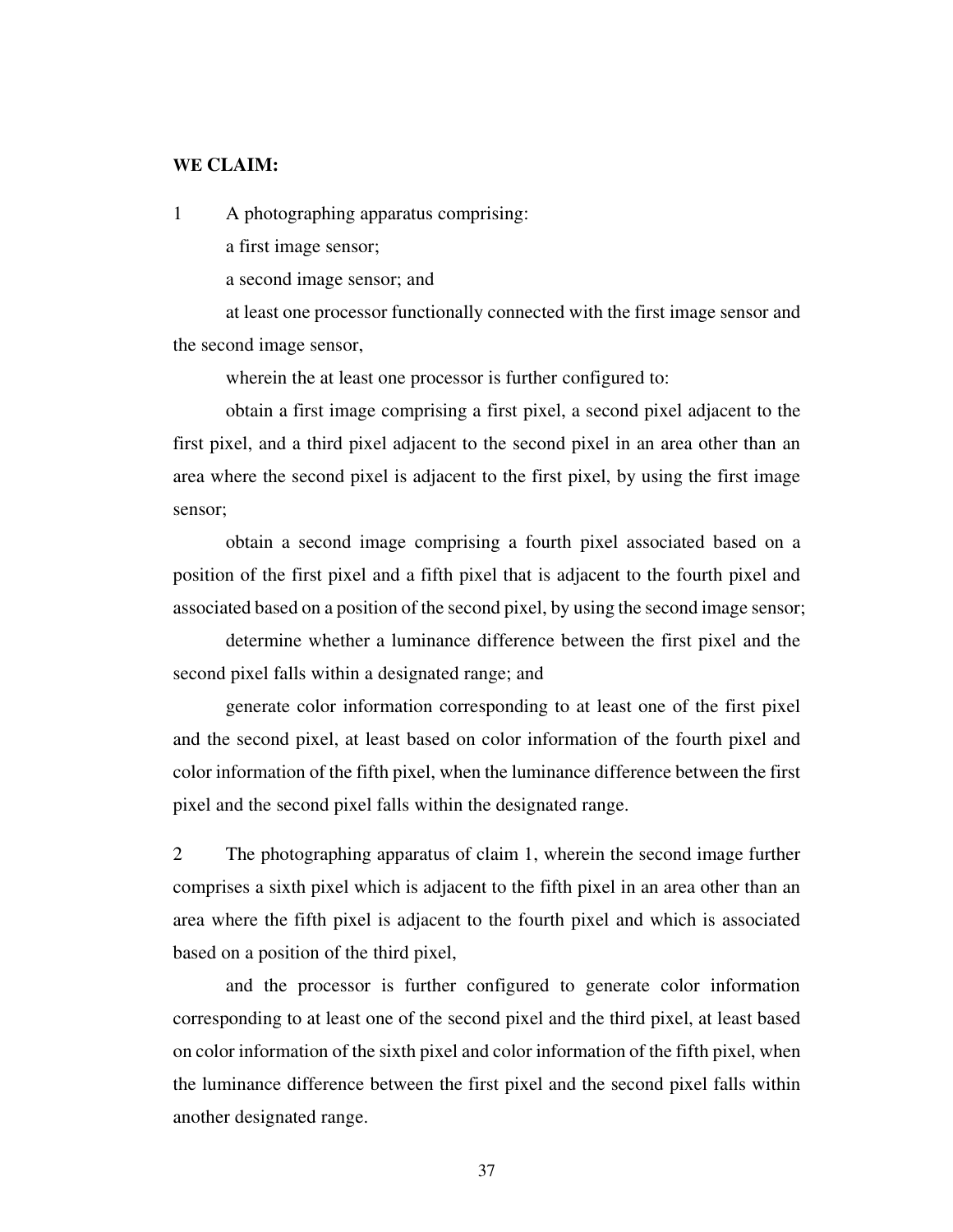#### **WE CLAIM:**

1 A photographing apparatus comprising:

a first image sensor;

a second image sensor; and

 at least one processor functionally connected with the first image sensor and the second image sensor,

wherein the at least one processor is further configured to:

 obtain a first image comprising a first pixel, a second pixel adjacent to the first pixel, and a third pixel adjacent to the second pixel in an area other than an area where the second pixel is adjacent to the first pixel, by using the first image sensor;

 obtain a second image comprising a fourth pixel associated based on a position of the first pixel and a fifth pixel that is adjacent to the fourth pixel and associated based on a position of the second pixel, by using the second image sensor;

 determine whether a luminance difference between the first pixel and the second pixel falls within a designated range; and

 generate color information corresponding to at least one of the first pixel and the second pixel, at least based on color information of the fourth pixel and color information of the fifth pixel, when the luminance difference between the first pixel and the second pixel falls within the designated range.

2 The photographing apparatus of claim 1, wherein the second image further comprises a sixth pixel which is adjacent to the fifth pixel in an area other than an area where the fifth pixel is adjacent to the fourth pixel and which is associated based on a position of the third pixel,

 and the processor is further configured to generate color information corresponding to at least one of the second pixel and the third pixel, at least based on color information of the sixth pixel and color information of the fifth pixel, when the luminance difference between the first pixel and the second pixel falls within another designated range.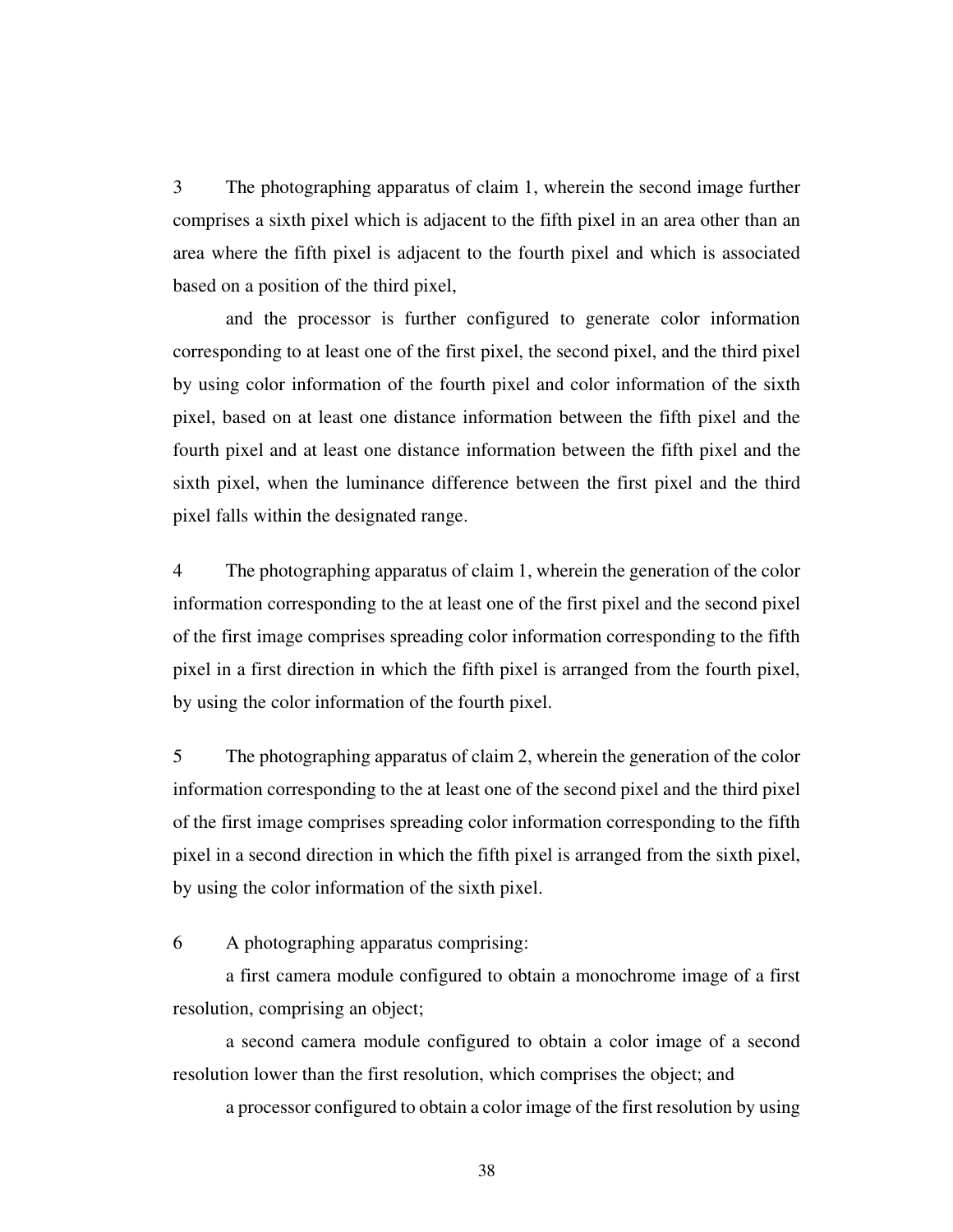3 The photographing apparatus of claim 1, wherein the second image further comprises a sixth pixel which is adjacent to the fifth pixel in an area other than an area where the fifth pixel is adjacent to the fourth pixel and which is associated based on a position of the third pixel,

 and the processor is further configured to generate color information corresponding to at least one of the first pixel, the second pixel, and the third pixel by using color information of the fourth pixel and color information of the sixth pixel, based on at least one distance information between the fifth pixel and the fourth pixel and at least one distance information between the fifth pixel and the sixth pixel, when the luminance difference between the first pixel and the third pixel falls within the designated range.

4 The photographing apparatus of claim 1, wherein the generation of the color information corresponding to the at least one of the first pixel and the second pixel of the first image comprises spreading color information corresponding to the fifth pixel in a first direction in which the fifth pixel is arranged from the fourth pixel, by using the color information of the fourth pixel.

5 The photographing apparatus of claim 2, wherein the generation of the color information corresponding to the at least one of the second pixel and the third pixel of the first image comprises spreading color information corresponding to the fifth pixel in a second direction in which the fifth pixel is arranged from the sixth pixel, by using the color information of the sixth pixel.

6 A photographing apparatus comprising:

 a first camera module configured to obtain a monochrome image of a first resolution, comprising an object;

 a second camera module configured to obtain a color image of a second resolution lower than the first resolution, which comprises the object; and

a processor configured to obtain a color image of the first resolution by using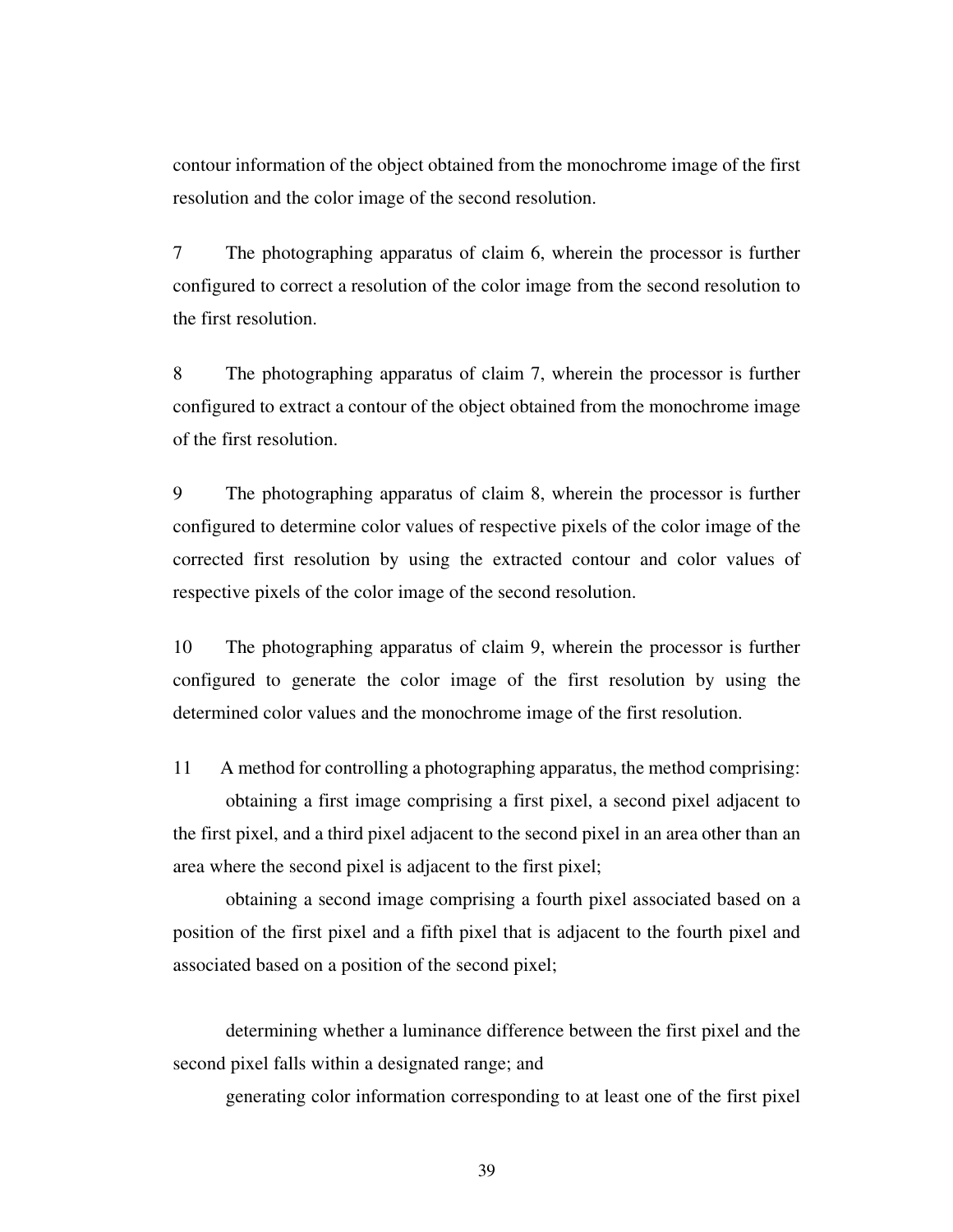contour information of the object obtained from the monochrome image of the first resolution and the color image of the second resolution.

7 The photographing apparatus of claim 6, wherein the processor is further configured to correct a resolution of the color image from the second resolution to the first resolution.

8 The photographing apparatus of claim 7, wherein the processor is further configured to extract a contour of the object obtained from the monochrome image of the first resolution.

9 The photographing apparatus of claim 8, wherein the processor is further configured to determine color values of respective pixels of the color image of the corrected first resolution by using the extracted contour and color values of respective pixels of the color image of the second resolution.

10 The photographing apparatus of claim 9, wherein the processor is further configured to generate the color image of the first resolution by using the determined color values and the monochrome image of the first resolution.

11 A method for controlling a photographing apparatus, the method comprising: obtaining a first image comprising a first pixel, a second pixel adjacent to the first pixel, and a third pixel adjacent to the second pixel in an area other than an area where the second pixel is adjacent to the first pixel;

 obtaining a second image comprising a fourth pixel associated based on a position of the first pixel and a fifth pixel that is adjacent to the fourth pixel and associated based on a position of the second pixel;

determining whether a luminance difference between the first pixel and the second pixel falls within a designated range; and

generating color information corresponding to at least one of the first pixel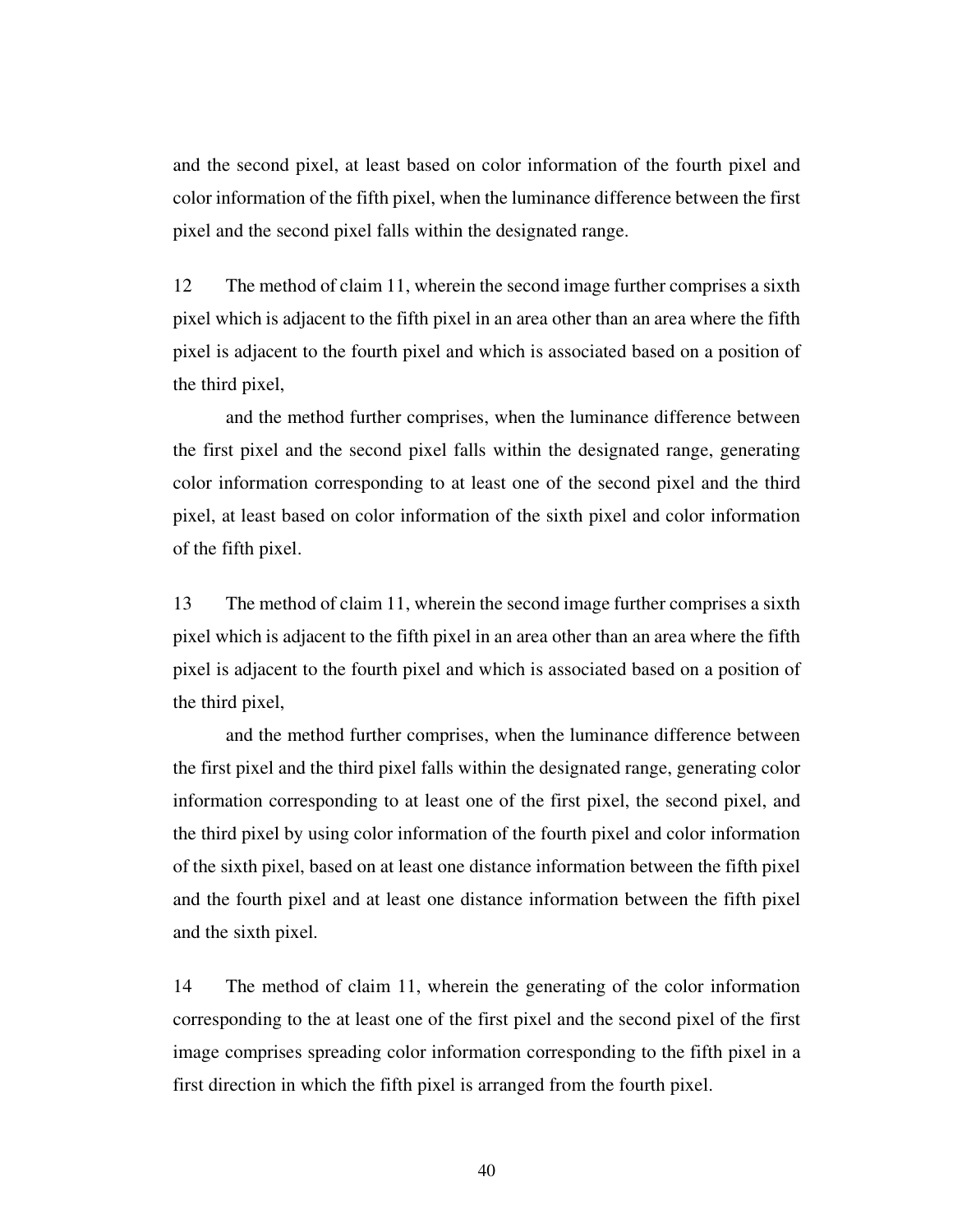and the second pixel, at least based on color information of the fourth pixel and color information of the fifth pixel, when the luminance difference between the first pixel and the second pixel falls within the designated range.

12 The method of claim 11, wherein the second image further comprises a sixth pixel which is adjacent to the fifth pixel in an area other than an area where the fifth pixel is adjacent to the fourth pixel and which is associated based on a position of the third pixel,

 and the method further comprises, when the luminance difference between the first pixel and the second pixel falls within the designated range, generating color information corresponding to at least one of the second pixel and the third pixel, at least based on color information of the sixth pixel and color information of the fifth pixel.

13 The method of claim 11, wherein the second image further comprises a sixth pixel which is adjacent to the fifth pixel in an area other than an area where the fifth pixel is adjacent to the fourth pixel and which is associated based on a position of the third pixel,

 and the method further comprises, when the luminance difference between the first pixel and the third pixel falls within the designated range, generating color information corresponding to at least one of the first pixel, the second pixel, and the third pixel by using color information of the fourth pixel and color information of the sixth pixel, based on at least one distance information between the fifth pixel and the fourth pixel and at least one distance information between the fifth pixel and the sixth pixel.

14 The method of claim 11, wherein the generating of the color information corresponding to the at least one of the first pixel and the second pixel of the first image comprises spreading color information corresponding to the fifth pixel in a first direction in which the fifth pixel is arranged from the fourth pixel.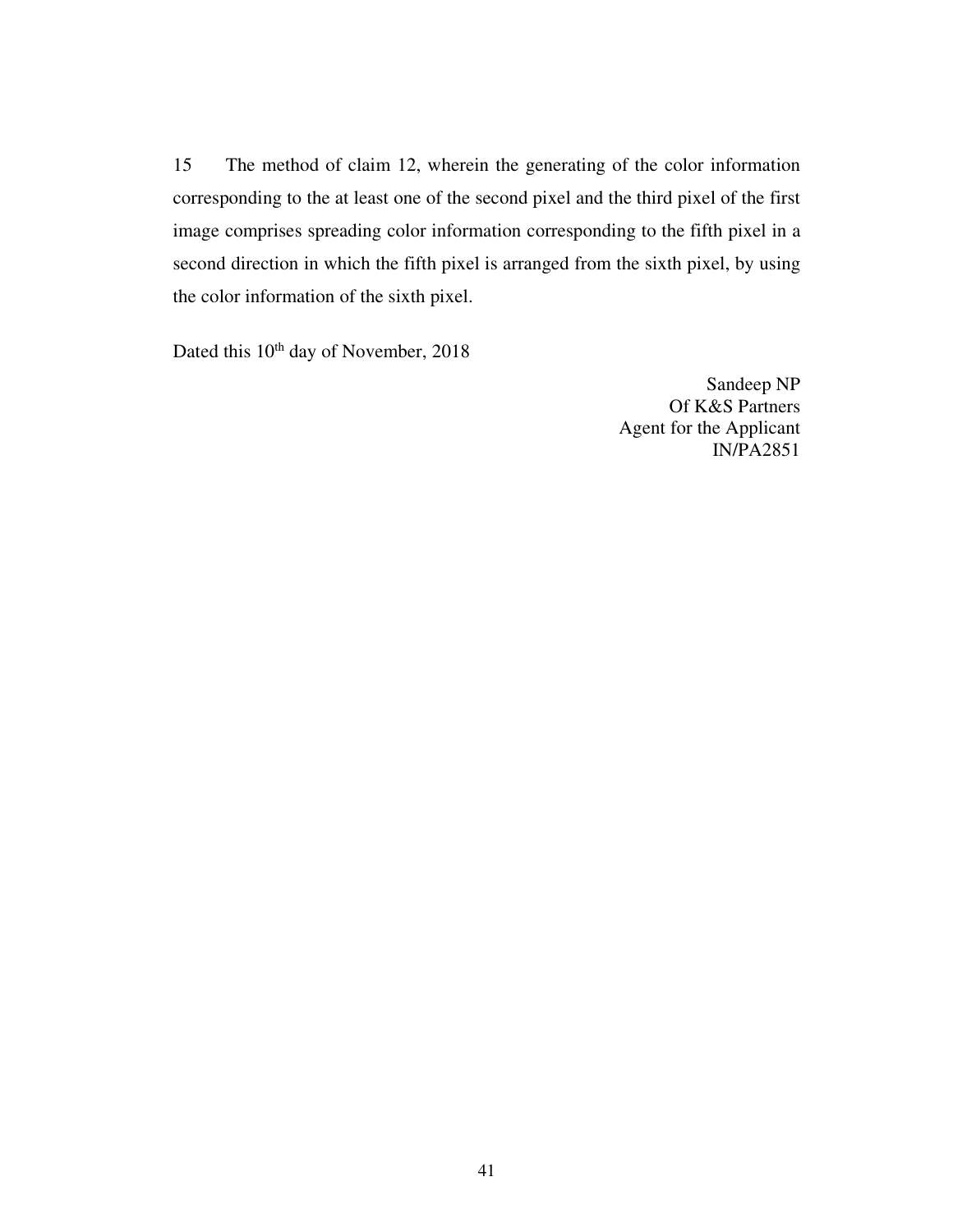15 The method of claim 12, wherein the generating of the color information corresponding to the at least one of the second pixel and the third pixel of the first image comprises spreading color information corresponding to the fifth pixel in a second direction in which the fifth pixel is arranged from the sixth pixel, by using the color information of the sixth pixel.

Dated this 10<sup>th</sup> day of November, 2018

Sandeep NP Of K&S Partners Agent for the Applicant IN/PA2851